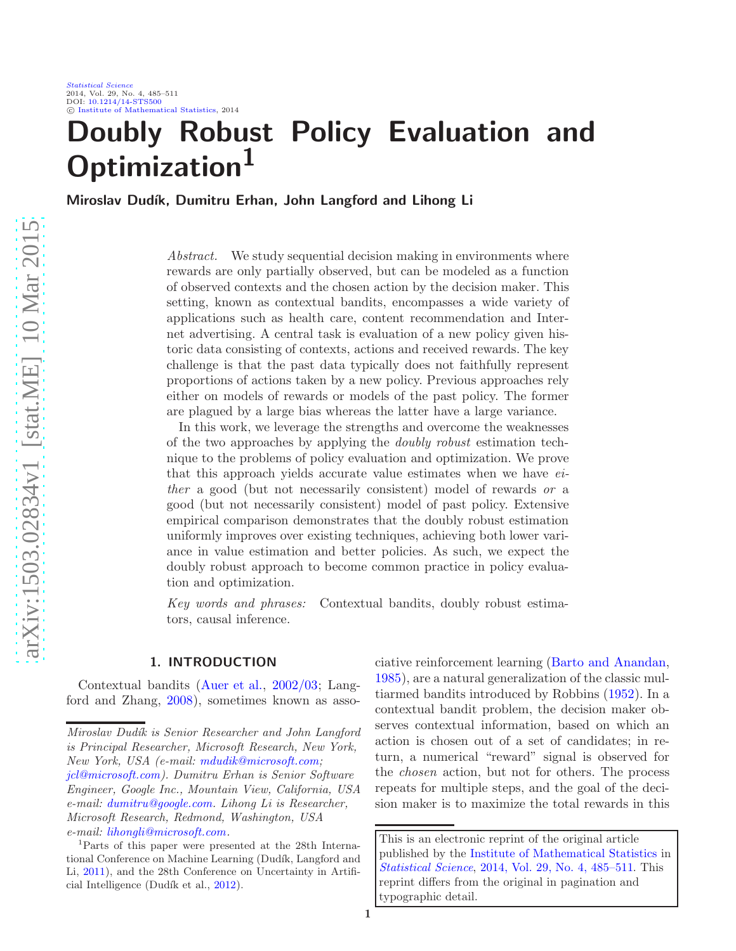# Doubly Robust Policy Evaluation and Optimization $<sup>1</sup>$ </sup>

Miroslav Dudík, Dumitru Erhan, John Langford and Lihong Li

Abstract. We study sequential decision making in environments where rewards are only partially observed, but can be modeled as a function of observed contexts and the chosen action by the decision maker. This setting, known as contextual bandits, encompasses a wide variety of applications such as health care, content recommendation and Internet advertising. A central task is evaluation of a new policy given historic data consisting of contexts, actions and received rewards. The key challenge is that the past data typically does not faithfully represent proportions of actions taken by a new policy. Previous approaches rely either on models of rewards or models of the past policy. The former are plagued by a large bias whereas the latter have a large variance.

In this work, we leverage the strengths and overcome the weaknesses of the two approaches by applying the *doubly robust* estimation technique to the problems of policy evaluation and optimization. We prove that this approach yields accurate value estimates when we have either a good (but not necessarily consistent) model of rewards or a good (but not necessarily consistent) model of past policy. Extensive empirical comparison demonstrates that the doubly robust estimation uniformly improves over existing techniques, achieving both lower variance in value estimation and better policies. As such, we expect the doubly robust approach to become common practice in policy evaluation and optimization.

Key words and phrases: Contextual bandits, doubly robust estimators, causal inference.

## 1. INTRODUCTION

Contextual bandits [\(Auer et al.](#page-26-0), [2002/03](#page-26-0); Langford and Zhang, [2008](#page-26-1)), sometimes known as associative reinforcement learning [\(Barto and Anandan](#page-26-4), [1985\)](#page-26-4), are a natural generalization of the classic multiarmed bandits introduced by Robbins [\(1952](#page-27-0)). In a contextual bandit problem, the decision maker observes contextual information, based on which an action is chosen out of a set of candidates; in return, a numerical "reward" signal is observed for the chosen action, but not for others. The process repeats for multiple steps, and the goal of the decision maker is to maximize the total rewards in this

This is an electronic reprint of the original article published by the [Institute of Mathematical Statistics](http://www.imstat.org) in [Statistical Science](http://www.imstat.org/sts/), [2014, Vol. 29, No. 4, 485–511.](http://dx.doi.org/10.1214/14-STS500) This reprint differs from the original in pagination and typographic detail.

Miroslav Dudík is Senior Researcher and John Langford is Principal Researcher, Microsoft Research, New York, New York, USA (e-mail: [mdudik@microsoft.com;](mailto:mdudik@microsoft.com)

[jcl@microsoft.com\)](mailto:jcl@microsoft.com). Dumitru Erhan is Senior Software Engineer, Google Inc., Mountain View, California, USA e-mail: [dumitru@google.com.](mailto:dumitru@google.com) Lihong Li is Researcher, Microsoft Research, Redmond, Washington, USA e-mail: [lihongli@microsoft.com.](mailto:lihongli@microsoft.com)

<sup>1</sup>Parts of this paper were presented at the 28th International Conference on Machine Learning (Dudík, Langford and Li, [2011](#page-26-2)), and the 28th Conference on Uncertainty in Artifi-cial Intelligence (Dudík et al., [2012](#page-26-3)).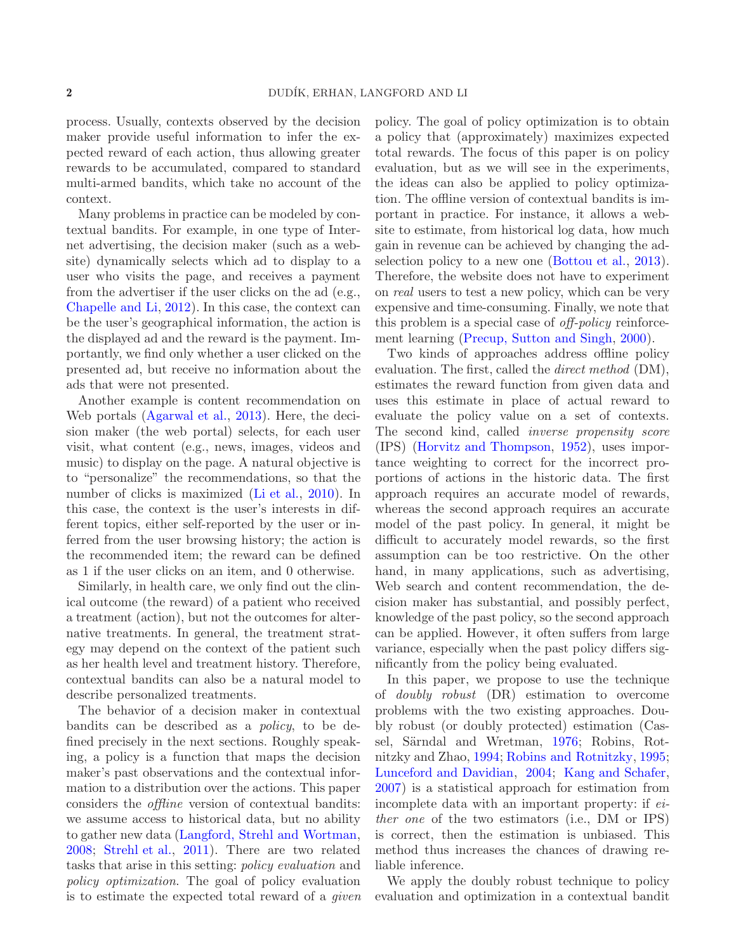process. Usually, contexts observed by the decision maker provide useful information to infer the expected reward of each action, thus allowing greater rewards to be accumulated, compared to standard multi-armed bandits, which take no account of the context.

Many problems in practice can be modeled by contextual bandits. For example, in one type of Internet advertising, the decision maker (such as a website) dynamically selects which ad to display to a user who visits the page, and receives a payment from the advertiser if the user clicks on the ad (e.g., [Chapelle and Li](#page-26-5), [2012](#page-26-5)). In this case, the context can be the user's geographical information, the action is the displayed ad and the reward is the payment. Importantly, we find only whether a user clicked on the presented ad, but receive no information about the ads that were not presented.

Another example is content recommendation on Web portals [\(Agarwal et al.](#page-25-0), [2013\)](#page-25-0). Here, the decision maker (the web portal) selects, for each user visit, what content (e.g., news, images, videos and music) to display on the page. A natural objective is to "personalize" the recommendations, so that the number of clicks is maximized [\(Li et al.,](#page-26-6) [2010](#page-26-6)). In this case, the context is the user's interests in different topics, either self-reported by the user or inferred from the user browsing history; the action is the recommended item; the reward can be defined as 1 if the user clicks on an item, and 0 otherwise.

Similarly, in health care, we only find out the clinical outcome (the reward) of a patient who received a treatment (action), but not the outcomes for alternative treatments. In general, the treatment strategy may depend on the context of the patient such as her health level and treatment history. Therefore, contextual bandits can also be a natural model to describe personalized treatments.

The behavior of a decision maker in contextual bandits can be described as a policy, to be defined precisely in the next sections. Roughly speaking, a policy is a function that maps the decision maker's past observations and the contextual information to a distribution over the actions. This paper considers the offline version of contextual bandits: we assume access to historical data, but no ability to gather new data [\(Langford, Strehl and Wortman](#page-26-7), [2008;](#page-26-7) [Strehl et al.,](#page-27-1) [2011](#page-27-1)). There are two related tasks that arise in this setting: policy evaluation and policy optimization. The goal of policy evaluation is to estimate the expected total reward of a given policy. The goal of policy optimization is to obtain a policy that (approximately) maximizes expected total rewards. The focus of this paper is on policy evaluation, but as we will see in the experiments, the ideas can also be applied to policy optimization. The offline version of contextual bandits is important in practice. For instance, it allows a website to estimate, from historical log data, how much gain in revenue can be achieved by changing the adselection policy to a new one [\(Bottou et al.](#page-26-8), [2013\)](#page-26-8). Therefore, the website does not have to experiment on real users to test a new policy, which can be very expensive and time-consuming. Finally, we note that this problem is a special case of off-policy reinforcement learning [\(Precup, Sutton and Singh,](#page-27-2) [2000](#page-27-2)).

Two kinds of approaches address offline policy evaluation. The first, called the *direct method* (DM), estimates the reward function from given data and uses this estimate in place of actual reward to evaluate the policy value on a set of contexts. The second kind, called inverse propensity score (IPS) [\(Horvitz and Thompson,](#page-26-9) [1952](#page-26-9)), uses importance weighting to correct for the incorrect proportions of actions in the historic data. The first approach requires an accurate model of rewards, whereas the second approach requires an accurate model of the past policy. In general, it might be difficult to accurately model rewards, so the first assumption can be too restrictive. On the other hand, in many applications, such as advertising, Web search and content recommendation, the decision maker has substantial, and possibly perfect, knowledge of the past policy, so the second approach can be applied. However, it often suffers from large variance, especially when the past policy differs significantly from the policy being evaluated.

In this paper, we propose to use the technique of doubly robust (DR) estimation to overcome problems with the two existing approaches. Doubly robust (or doubly protected) estimation (Cas-sel, Särndal and Wretman, [1976](#page-26-10); Robins, Rotnitzky and Zhao, [1994;](#page-27-3) [Robins and Rotnitzky,](#page-27-4) [1995](#page-27-4); [Lunceford and Davidian](#page-26-11), [2004](#page-26-11); [Kang and Schafer](#page-26-12), [2007\)](#page-26-12) is a statistical approach for estimation from incomplete data with an important property: if either one of the two estimators (i.e., DM or IPS) is correct, then the estimation is unbiased. This method thus increases the chances of drawing reliable inference.

We apply the doubly robust technique to policy evaluation and optimization in a contextual bandit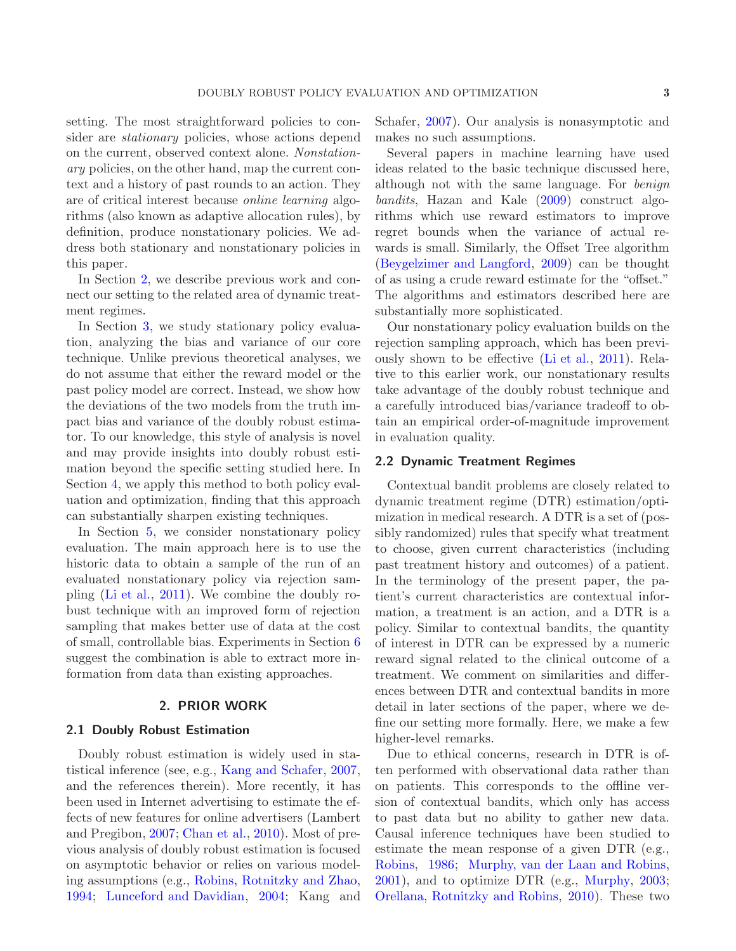setting. The most straightforward policies to consider are *stationary* policies, whose actions depend on the current, observed context alone. Nonstationary policies, on the other hand, map the current context and a history of past rounds to an action. They are of critical interest because online learning algorithms (also known as adaptive allocation rules), by definition, produce nonstationary policies. We address both stationary and nonstationary policies in this paper.

In Section [2,](#page-2-0) we describe previous work and connect our setting to the related area of dynamic treatment regimes.

In Section [3,](#page-3-0) we study stationary policy evaluation, analyzing the bias and variance of our core technique. Unlike previous theoretical analyses, we do not assume that either the reward model or the past policy model are correct. Instead, we show how the deviations of the two models from the truth impact bias and variance of the doubly robust estimator. To our knowledge, this style of analysis is novel and may provide insights into doubly robust estimation beyond the specific setting studied here. In Section [4,](#page-8-0) we apply this method to both policy evaluation and optimization, finding that this approach can substantially sharpen existing techniques.

In Section [5,](#page-13-0) we consider nonstationary policy evaluation. The main approach here is to use the historic data to obtain a sample of the run of an evaluated nonstationary policy via rejection sampling [\(Li et al.](#page-26-13), [2011](#page-26-13)). We combine the doubly robust technique with an improved form of rejection sampling that makes better use of data at the cost of small, controllable bias. Experiments in Section [6](#page-17-0) suggest the combination is able to extract more information from data than existing approaches.

## 2. PRIOR WORK

#### <span id="page-2-0"></span>2.1 Doubly Robust Estimation

Doubly robust estimation is widely used in statistical inference (see, e.g., [Kang and Schafer,](#page-26-12) [2007](#page-26-12), and the references therein). More recently, it has been used in Internet advertising to estimate the effects of new features for online advertisers (Lambert and Pregibon, [2007](#page-26-14); [Chan et al.](#page-26-15), [2010\)](#page-26-15). Most of previous analysis of doubly robust estimation is focused on asymptotic behavior or relies on various modeling assumptions (e.g., [Robins, Rotnitzky and Zhao](#page-27-3), [1994;](#page-27-3) [Lunceford and Davidian,](#page-26-11) [2004](#page-26-11); Kang and Schafer, [2007](#page-26-12)). Our analysis is nonasymptotic and makes no such assumptions.

Several papers in machine learning have used ideas related to the basic technique discussed here, although not with the same language. For benign bandits, Hazan and Kale [\(2009](#page-26-16)) construct algorithms which use reward estimators to improve regret bounds when the variance of actual rewards is small. Similarly, the Offset Tree algorithm [\(Beygelzimer and Langford,](#page-26-17) [2009](#page-26-17)) can be thought of as using a crude reward estimate for the "offset." The algorithms and estimators described here are substantially more sophisticated.

Our nonstationary policy evaluation builds on the rejection sampling approach, which has been previously shown to be effective [\(Li et al.,](#page-26-13) [2011](#page-26-13)). Relative to this earlier work, our nonstationary results take advantage of the doubly robust technique and a carefully introduced bias/variance tradeoff to obtain an empirical order-of-magnitude improvement in evaluation quality.

## 2.2 Dynamic Treatment Regimes

Contextual bandit problems are closely related to dynamic treatment regime (DTR) estimation/optimization in medical research. A DTR is a set of (possibly randomized) rules that specify what treatment to choose, given current characteristics (including past treatment history and outcomes) of a patient. In the terminology of the present paper, the patient's current characteristics are contextual information, a treatment is an action, and a DTR is a policy. Similar to contextual bandits, the quantity of interest in DTR can be expressed by a numeric reward signal related to the clinical outcome of a treatment. We comment on similarities and differences between DTR and contextual bandits in more detail in later sections of the paper, where we define our setting more formally. Here, we make a few higher-level remarks.

Due to ethical concerns, research in DTR is often performed with observational data rather than on patients. This corresponds to the offline version of contextual bandits, which only has access to past data but no ability to gather new data. Causal inference techniques have been studied to estimate the mean response of a given DTR (e.g., [Robins](#page-27-5), [1986](#page-27-5); [Murphy, van der Laan and Robins](#page-27-6), [2001\)](#page-27-6), and to optimize DTR (e.g., [Murphy,](#page-27-7) [2003](#page-27-7); [Orellana, Rotnitzky and Robins,](#page-27-8) [2010](#page-27-8)). These two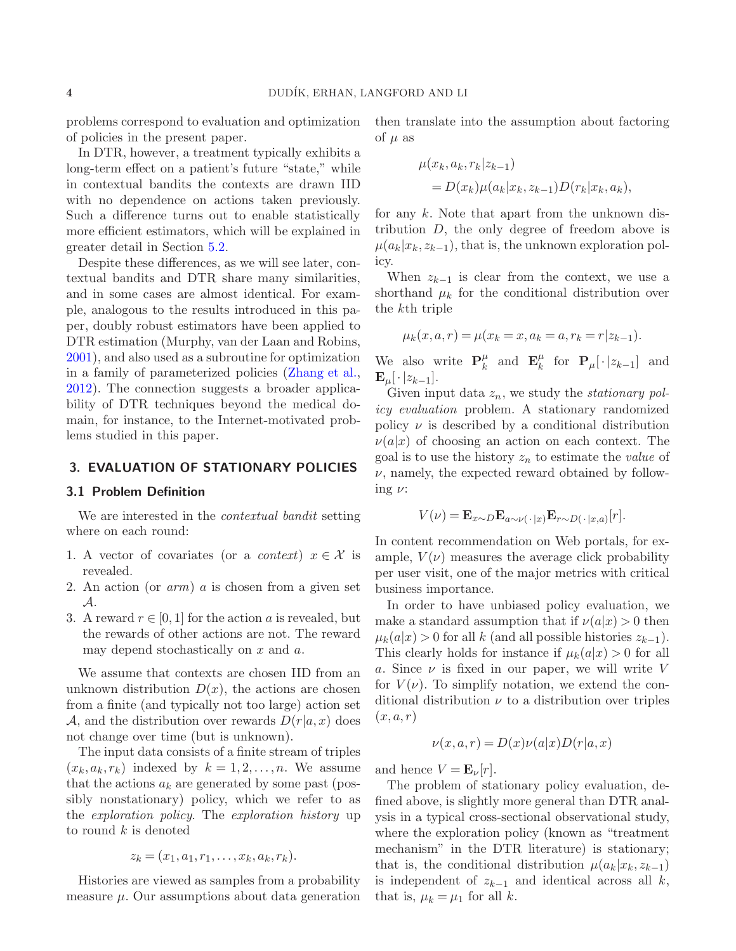problems correspond to evaluation and optimization of policies in the present paper.

In DTR, however, a treatment typically exhibits a long-term effect on a patient's future "state," while in contextual bandits the contexts are drawn IID with no dependence on actions taken previously. Such a difference turns out to enable statistically more efficient estimators, which will be explained in greater detail in Section [5.2.](#page-14-0)

Despite these differences, as we will see later, contextual bandits and DTR share many similarities, and in some cases are almost identical. For example, analogous to the results introduced in this paper, doubly robust estimators have been applied to DTR estimation (Murphy, van der Laan and Robins, [2001\)](#page-27-6), and also used as a subroutine for optimization in a family of parameterized policies [\(Zhang et al.](#page-27-9), [2012\)](#page-27-9). The connection suggests a broader applicability of DTR techniques beyond the medical domain, for instance, to the Internet-motivated problems studied in this paper.

## <span id="page-3-1"></span><span id="page-3-0"></span>3. EVALUATION OF STATIONARY POLICIES

## 3.1 Problem Definition

We are interested in the *contextual bandit* setting where on each round:

- 1. A vector of covariates (or a *context*)  $x \in \mathcal{X}$  is revealed.
- 2. An action (or  $arm$ ) a is chosen from a given set A.
- 3. A reward  $r \in [0, 1]$  for the action a is revealed, but the rewards of other actions are not. The reward may depend stochastically on  $x$  and  $a$ .

We assume that contexts are chosen IID from an unknown distribution  $D(x)$ , the actions are chosen from a finite (and typically not too large) action set A, and the distribution over rewards  $D(r|a, x)$  does not change over time (but is unknown).

The input data consists of a finite stream of triples  $(x_k, a_k, r_k)$  indexed by  $k = 1, 2, \ldots, n$ . We assume that the actions  $a_k$  are generated by some past (possibly nonstationary) policy, which we refer to as the exploration policy. The exploration history up to round  $k$  is denoted

$$
z_k=(x_1,a_1,r_1,\ldots,x_k,a_k,r_k).
$$

Histories are viewed as samples from a probability measure  $\mu$ . Our assumptions about data generation

then translate into the assumption about factoring of  $\mu$  as

$$
\mu(x_k, a_k, r_k | z_{k-1})
$$
  
=  $D(x_k)\mu(a_k|x_k, z_{k-1})D(r_k|x_k, a_k),$ 

for any  $k$ . Note that apart from the unknown distribution D, the only degree of freedom above is  $\mu(a_k|x_k, z_{k-1})$ , that is, the unknown exploration policy.

When  $z_{k-1}$  is clear from the context, we use a shorthand  $\mu_k$  for the conditional distribution over the kth triple

$$
\mu_k(x, a, r) = \mu(x_k = x, a_k = a, r_k = r | z_{k-1}).
$$

We also write  $\mathbf{P}_{k}^{\mu}$  $\frac{\mu}{k}$  and  $\mathbf{E}_k^{\mu}$  $\frac{\mu}{k}$  for  $\mathbf{P}_{\mu}[\cdot | z_{k-1}]$  and  ${\bf E}_\mu[\, \cdot \,|z_{k-1}].$ 

Given input data  $z_n$ , we study the *stationary pol*icy evaluation problem. A stationary randomized policy  $\nu$  is described by a conditional distribution  $\nu(a|x)$  of choosing an action on each context. The goal is to use the history  $z_n$  to estimate the *value* of  $\nu$ , namely, the expected reward obtained by following  $\nu$ :

$$
V(\nu) = \mathbf{E}_{x \sim D} \mathbf{E}_{a \sim \nu(\cdot|x)} \mathbf{E}_{r \sim D(\cdot|x,a)}[r].
$$

In content recommendation on Web portals, for example,  $V(\nu)$  measures the average click probability per user visit, one of the major metrics with critical business importance.

In order to have unbiased policy evaluation, we make a standard assumption that if  $\nu(a|x) > 0$  then  $\mu_k(a|x) > 0$  for all k (and all possible histories  $z_{k-1}$ ). This clearly holds for instance if  $\mu_k(a|x) > 0$  for all a. Since  $\nu$  is fixed in our paper, we will write V for  $V(\nu)$ . To simplify notation, we extend the conditional distribution  $\nu$  to a distribution over triples  $(x, a, r)$ 

$$
\nu(x, a, r) = D(x)\nu(a|x)D(r|a, x)
$$

and hence  $V = \mathbf{E}_{\nu}[r]$ .

The problem of stationary policy evaluation, defined above, is slightly more general than DTR analysis in a typical cross-sectional observational study, where the exploration policy (known as "treatment mechanism" in the DTR literature) is stationary; that is, the conditional distribution  $\mu(a_k|x_k, z_{k-1})$ is independent of  $z_{k-1}$  and identical across all k, that is,  $\mu_k = \mu_1$  for all k.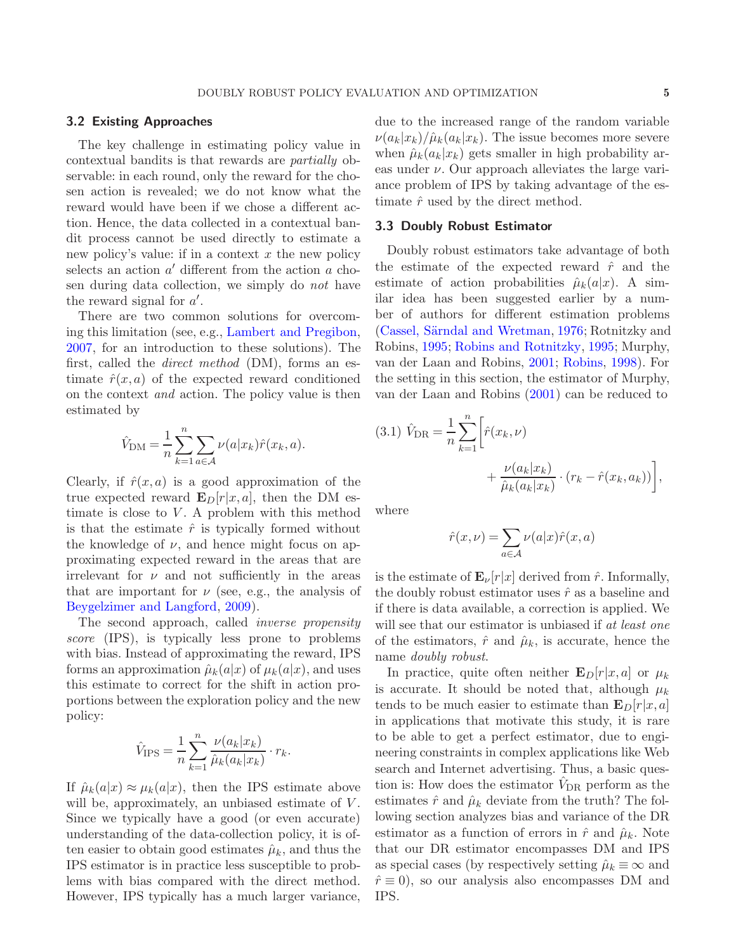The key challenge in estimating policy value in contextual bandits is that rewards are partially observable: in each round, only the reward for the chosen action is revealed; we do not know what the reward would have been if we chose a different action. Hence, the data collected in a contextual bandit process cannot be used directly to estimate a new policy's value: if in a context  $x$  the new policy selects an action  $a'$  different from the action  $a$  chosen during data collection, we simply do not have the reward signal for  $a'$ .

There are two common solutions for overcoming this limitation (see, e.g., [Lambert and Pregibon](#page-26-14), [2007,](#page-26-14) for an introduction to these solutions). The first, called the direct method (DM), forms an estimate  $\hat{r}(x, a)$  of the expected reward conditioned on the context and action. The policy value is then estimated by

$$
\hat{V}_{\text{DM}} = \frac{1}{n} \sum_{k=1}^{n} \sum_{a \in \mathcal{A}} \nu(a|x_k)\hat{r}(x_k, a).
$$

Clearly, if  $\hat{r}(x, a)$  is a good approximation of the true expected reward  $\mathbf{E}_D[r|x, a]$ , then the DM estimate is close to  $V$ . A problem with this method is that the estimate  $\hat{r}$  is typically formed without the knowledge of  $\nu$ , and hence might focus on approximating expected reward in the areas that are irrelevant for  $\nu$  and not sufficiently in the areas that are important for  $\nu$  (see, e.g., the analysis of [Beygelzimer and Langford,](#page-26-17) [2009](#page-26-17)).

The second approach, called inverse propensity score (IPS), is typically less prone to problems with bias. Instead of approximating the reward, IPS forms an approximation  $\hat{\mu}_k(a|x)$  of  $\mu_k(a|x)$ , and uses this estimate to correct for the shift in action proportions between the exploration policy and the new policy:

$$
\hat{V}_{\text{IPS}} = \frac{1}{n} \sum_{k=1}^{n} \frac{\nu(a_k | x_k)}{\hat{\mu}_k(a_k | x_k)} \cdot r_k.
$$

If  $\hat{\mu}_k(a|x) \approx \mu_k(a|x)$ , then the IPS estimate above will be, approximately, an unbiased estimate of V. Since we typically have a good (or even accurate) understanding of the data-collection policy, it is often easier to obtain good estimates  $\hat{\mu}_k$ , and thus the IPS estimator is in practice less susceptible to problems with bias compared with the direct method. However, IPS typically has a much larger variance,

due to the increased range of the random variable  $\nu(a_k|x_k)/\hat{\mu}_k(a_k|x_k)$ . The issue becomes more severe when  $\hat{\mu}_k(a_k|x_k)$  gets smaller in high probability areas under  $\nu$ . Our approach alleviates the large variance problem of IPS by taking advantage of the estimate  $\hat{r}$  used by the direct method.

#### 3.3 Doubly Robust Estimator

Doubly robust estimators take advantage of both the estimate of the expected reward  $\hat{r}$  and the estimate of action probabilities  $\hat{\mu}_k(a|x)$ . A similar idea has been suggested earlier by a number of authors for different estimation problems (Cassel, Särndal and Wretman, [1976](#page-26-10); Rotnitzky and Robins, [1995](#page-27-10); [Robins and Rotnitzky,](#page-27-4) [1995](#page-27-4); Murphy, van der Laan and Robins, [2001;](#page-27-6) [Robins,](#page-27-11) [1998](#page-27-11)). For the setting in this section, the estimator of Murphy, van der Laan and Robins [\(2001](#page-27-6)) can be reduced to

(3.1) 
$$
\hat{V}_{\text{DR}} = \frac{1}{n} \sum_{k=1}^{n} \left[ \hat{r}(x_k, \nu) + \frac{\nu(a_k | x_k)}{\hat{\mu}_k(a_k | x_k)} \cdot (r_k - \hat{r}(x_k, a_k)) \right],
$$

where

$$
\hat{r}(x,\nu) = \sum_{a \in \mathcal{A}} \nu(a|x)\hat{r}(x,a)
$$

is the estimate of  $\mathbf{E}_{\nu}[r|x]$  derived from  $\hat{r}$ . Informally, the doubly robust estimator uses  $\hat{r}$  as a baseline and if there is data available, a correction is applied. We will see that our estimator is unbiased if at least one of the estimators,  $\hat{r}$  and  $\hat{\mu}_k$ , is accurate, hence the name doubly robust.

In practice, quite often neither  $\mathbf{E}_D[r|x, a]$  or  $\mu_k$ is accurate. It should be noted that, although  $\mu_k$ tends to be much easier to estimate than  $\mathbf{E}_D[r|x, a]$ in applications that motivate this study, it is rare to be able to get a perfect estimator, due to engineering constraints in complex applications like Web search and Internet advertising. Thus, a basic question is: How does the estimator  $V_{\text{DR}}$  perform as the estimates  $\hat{r}$  and  $\hat{\mu}_k$  deviate from the truth? The following section analyzes bias and variance of the DR estimator as a function of errors in  $\hat{r}$  and  $\hat{\mu}_k$ . Note that our DR estimator encompasses DM and IPS as special cases (by respectively setting  $\hat{\mu}_k \equiv \infty$  and  $\hat{r} \equiv 0$ , so our analysis also encompasses DM and IPS.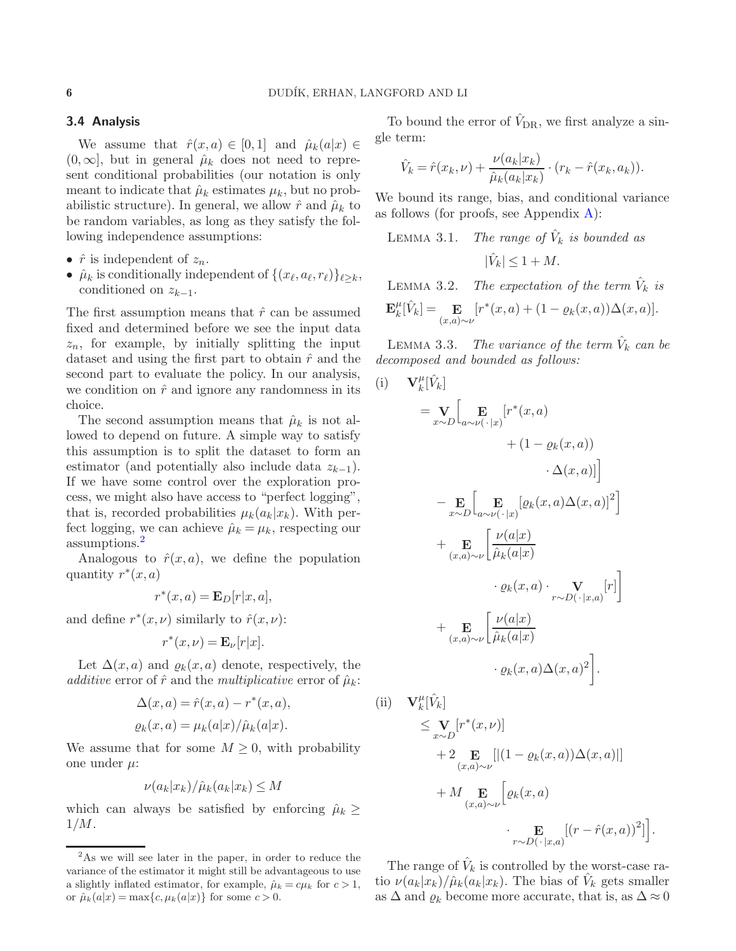### 3.4 Analysis

We assume that  $\hat{r}(x, a) \in [0, 1]$  and  $\hat{\mu}_k(a|x) \in$  $(0,\infty]$ , but in general  $\hat{\mu}_k$  does not need to represent conditional probabilities (our notation is only meant to indicate that  $\hat{\mu}_k$  estimates  $\mu_k$ , but no probabilistic structure). In general, we allow  $\hat{r}$  and  $\hat{\mu}_k$  to be random variables, as long as they satisfy the following independence assumptions:

- $\hat{r}$  is independent of  $z_n$ .
- $\hat{\mu}_k$  is conditionally independent of  $\{(x_\ell, a_\ell, r_\ell)\}_{\ell \geq k}$ , conditioned on  $z_{k-1}$ .

The first assumption means that  $\hat{r}$  can be assumed fixed and determined before we see the input data  $z_n$ , for example, by initially splitting the input dataset and using the first part to obtain  $\hat{r}$  and the second part to evaluate the policy. In our analysis, we condition on  $\hat{r}$  and ignore any randomness in its choice.

The second assumption means that  $\hat{\mu}_k$  is not allowed to depend on future. A simple way to satisfy this assumption is to split the dataset to form an estimator (and potentially also include data  $z_{k-1}$ ). If we have some control over the exploration process, we might also have access to "perfect logging", that is, recorded probabilities  $\mu_k(a_k|x_k)$ . With perfect logging, we can achieve  $\hat{\mu}_k = \mu_k$ , respecting our assumptions.[2](#page-5-0)

Analogous to  $\hat{r}(x, a)$ , we define the population quantity  $r^*(x, a)$ 

$$
r^*(x,a) = \mathbf{E}_D[r|x,a],
$$

and define  $r^*(x, \nu)$  similarly to  $\hat{r}(x, \nu)$ :

$$
r^*(x,\nu) = \mathbf{E}_{\nu}[r|x].
$$

Let  $\Delta(x, a)$  and  $\rho_k(x, a)$  denote, respectively, the additive error of  $\hat{r}$  and the multiplicative error of  $\hat{\mu}_k$ :

$$
\Delta(x, a) = \hat{r}(x, a) - r^*(x, a),
$$
  

$$
\rho_k(x, a) = \mu_k(a|x) / \hat{\mu}_k(a|x).
$$

We assume that for some  $M \geq 0$ , with probability one under  $\mu$ :

$$
\nu(a_k|x_k)/\hat{\mu}_k(a_k|x_k) \le M
$$

which can always be satisfied by enforcing  $\hat{\mu}_k \geq$  $1/M$ .

To bound the error of  $V_{\text{DR}}$ , we first analyze a single term:

<span id="page-5-3"></span>
$$
\hat{V}_k = \hat{r}(x_k, \nu) + \frac{\nu(a_k|x_k)}{\hat{\mu}_k(a_k|x_k)} \cdot (r_k - \hat{r}(x_k, a_k)).
$$

We bound its range, bias, and conditional variance as follows (for proofs, see Appendix  $A$ ):

LEMMA 3.1. The range of 
$$
\hat{V}_k
$$
 is bounded as  
 $|\hat{V}_k| \le 1 + M$ .

<span id="page-5-2"></span>LEMMA 3.2. The expectation of the term  $\hat{V}_k$  is

$$
\mathbf{E}_{k}^{\mu}[\hat{V}_{k}] = \mathbf{E}_{(x,a)\sim\nu}[r^{*}(x,a) + (1 - \varrho_{k}(x,a))\Delta(x,a)].
$$

<span id="page-5-1"></span>LEMMA 3.3. The variance of the term  $\hat{V}_k$  can be decomposed and bounded as follows:

 $\mathbf{u}$ 

(i) 
$$
\mathbf{V}_{k}^{\mu}[\hat{V}_{k}] = \mathbf{V}_{\mathbf{x} \sim D} \Big[ \mathbf{E}_{a \sim \nu(\cdot | x)} [r^{*}(x, a) + (1 - \varrho_{k}(x, a)) \cdot \Delta(x, a)] \Big] - \mathbf{E}_{x \sim D} \Big[ \mathbf{E}_{a \sim \nu(\cdot | x)} [\varrho_{k}(x, a) \Delta(x, a)]^{2} \Big] + \mathbf{E}_{(x, a) \sim \nu} \Big[ \frac{\nu(a|x)}{\hat{\mu}_{k}(a|x)} \cdot \varrho_{k}(x, a) \cdot \mathbf{V}_{r \sim D(\cdot | x, a)} [r] \Big] + \mathbf{E}_{(x, a) \sim \nu} \Big[ \frac{\nu(a|x)}{\hat{\mu}_{k}(a|x)} \cdot \varrho_{k}(x, a) \Delta(x, a)^{2} \Big].
$$

(ii) 
$$
\mathbf{V}_{k}^{\mu}[\hat{V}_{k}]
$$
  
\n
$$
\leq \mathbf{V}_{x \sim D}[r^{*}(x, \nu)]
$$
  
\n
$$
+ 2 \mathbf{E}_{(x, a) \sim \nu}[(1 - \varrho_{k}(x, a))\Delta(x, a)]
$$
  
\n
$$
+ M \mathbf{E}_{(x, a) \sim \nu}[\varrho_{k}(x, a)
$$
  
\n
$$
\cdot \mathbf{E}_{r \sim D(\cdot | x, a)}[(r - \hat{r}(x, a))^{2}]
$$

The range of  $\hat{V}_k$  is controlled by the worst-case ratio  $\nu(a_k|x_k)/\hat{\mu}_k(a_k|x_k)$ . The bias of  $\hat{V}_k$  gets smaller as  $\Delta$  and  $\varrho_k$  become more accurate, that is, as  $\Delta \approx 0$ 

] i .

<span id="page-5-0"></span><sup>2</sup>As we will see later in the paper, in order to reduce the variance of the estimator it might still be advantageous to use a slightly inflated estimator, for example,  $\hat{\mu}_k = c\mu_k$  for  $c > 1$ , or  $\hat{\mu}_k(a|x) = \max\{c, \mu_k(a|x)\}\$ for some  $c > 0$ .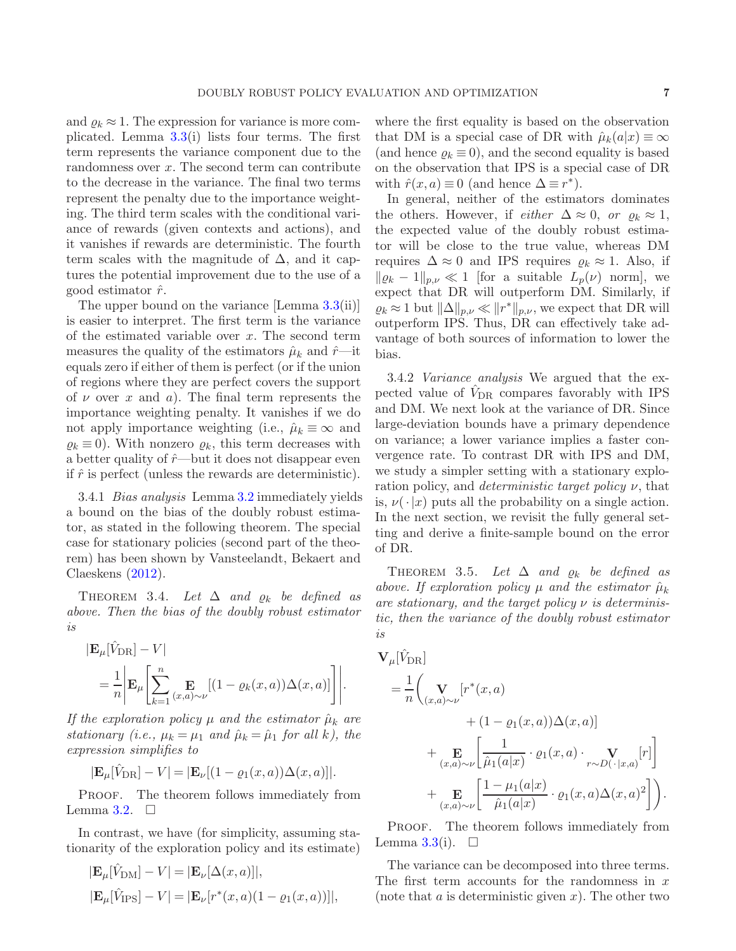and  $\rho_k \approx 1$ . The expression for variance is more complicated. Lemma  $3.3(i)$  $3.3(i)$  lists four terms. The first term represents the variance component due to the randomness over x. The second term can contribute to the decrease in the variance. The final two terms represent the penalty due to the importance weighting. The third term scales with the conditional variance of rewards (given contexts and actions), and it vanishes if rewards are deterministic. The fourth term scales with the magnitude of  $\Delta$ , and it captures the potential improvement due to the use of a good estimator  $\hat{r}$ .

The upper bound on the variance [Lemma [3.3\(](#page-5-1)ii)] is easier to interpret. The first term is the variance of the estimated variable over  $x$ . The second term measures the quality of the estimators  $\hat{\mu}_k$  and  $\hat{r}$ —it equals zero if either of them is perfect (or if the union of regions where they are perfect covers the support of  $\nu$  over x and a). The final term represents the importance weighting penalty. It vanishes if we do not apply importance weighting (i.e.,  $\hat{\mu}_k \equiv \infty$  and  $\varrho_k \equiv 0$ ). With nonzero  $\varrho_k$ , this term decreases with a better quality of  $\hat{r}$ —but it does not disappear even if  $\hat{r}$  is perfect (unless the rewards are deterministic).

3.4.1 Bias analysis Lemma [3.2](#page-5-2) immediately yields a bound on the bias of the doubly robust estimator, as stated in the following theorem. The special case for stationary policies (second part of the theorem) has been shown by Vansteelandt, Bekaert and Claeskens [\(2012\)](#page-27-12).

THEOREM 3.4. Let  $\Delta$  and  $\rho_k$  be defined as above. Then the bias of the doubly robust estimator is

$$
\begin{aligned} \left| \mathbf{E}_{\mu} [\hat{V}_{\text{DR}}] - V \right| \\ &= \frac{1}{n} \left| \mathbf{E}_{\mu} \left[ \sum_{k=1}^{n} \mathbf{E}_{(x,a) \sim \nu} [(1 - \varrho_k(x,a)) \Delta(x,a)] \right] \right|. \end{aligned}
$$

If the exploration policy  $\mu$  and the estimator  $\hat{\mu}_k$  are stationary (i.e.,  $\mu_k = \mu_1$  and  $\hat{\mu}_k = \hat{\mu}_1$  for all k), the expression simplifies to

$$
|\mathbf{E}_{\mu}[\hat{V}_{\text{DR}}] - V| = |\mathbf{E}_{\nu}[(1 - \varrho_1(x, a))\Delta(x, a)]|.
$$

PROOF. The theorem follows immediately from Lemma [3.2.](#page-5-2)  $\Box$ 

In contrast, we have (for simplicity, assuming stationarity of the exploration policy and its estimate)

$$
|\mathbf{E}_{\mu}[\hat{V}_{\text{DM}}] - V| = |\mathbf{E}_{\nu}[\Delta(x, a)]|,
$$
  

$$
|\mathbf{E}_{\mu}[\hat{V}_{\text{IPS}}] - V| = |\mathbf{E}_{\nu}[r^*(x, a)(1 - \varrho_1(x, a))]|,
$$

where the first equality is based on the observation that DM is a special case of DR with  $\hat{\mu}_k(a|x) \equiv \infty$ (and hence  $\rho_k \equiv 0$ ), and the second equality is based on the observation that IPS is a special case of DR with  $\hat{r}(x, a) \equiv 0$  (and hence  $\Delta \equiv r^*$ ).

In general, neither of the estimators dominates the others. However, if *either*  $\Delta \approx 0$ , or  $\varrho_k \approx 1$ , the expected value of the doubly robust estimator will be close to the true value, whereas DM requires  $\Delta \approx 0$  and IPS requires  $\rho_k \approx 1$ . Also, if  $\|\varrho_k - 1\|_{p,\nu} \ll 1$  [for a suitable  $L_p(\nu)$  norm], we expect that DR will outperform DM. Similarly, if  $\varrho_k \approx 1$  but  $\|\Delta\|_{p,\nu} \ll \|r^*\|_{p,\nu}$ , we expect that DR will outperform IPS. Thus, DR can effectively take advantage of both sources of information to lower the bias.

3.4.2 Variance analysis We argued that the expected value of  $V_{\text{DR}}$  compares favorably with IPS and DM. We next look at the variance of DR. Since large-deviation bounds have a primary dependence on variance; a lower variance implies a faster convergence rate. To contrast DR with IPS and DM, we study a simpler setting with a stationary exploration policy, and *deterministic target policy*  $\nu$ , that is,  $\nu(\cdot|x)$  puts all the probability on a single action. In the next section, we revisit the fully general setting and derive a finite-sample bound on the error of DR.

THEOREM 3.5. Let  $\Delta$  and  $\varrho_k$  be defined as above. If exploration policy  $\mu$  and the estimator  $\hat{\mu}_k$ are stationary, and the target policy  $\nu$  is deterministic, then the variance of the doubly robust estimator is

$$
\mathbf{V}_{\mu}[\hat{V}_{\text{DR}}]
$$
\n
$$
= \frac{1}{n} \Biggl( \mathbf{V}_{(x,a)\sim\nu} [r^*(x,a) + (1 - \varrho_1(x,a))\Delta(x,a)] + \mathbf{E}_{(x,a)\sim\nu} \Biggl[ \frac{1}{\hat{\mu}_1(a|x)} \cdot \varrho_1(x,a) \cdot \mathbf{V}_{r\sim D(\cdot|x,a)}[r] \Biggr] + \mathbf{E}_{(x,a)\sim\nu} \Biggl[ \frac{1 - \mu_1(a|x)}{\hat{\mu}_1(a|x)} \cdot \varrho_1(x,a)\Delta(x,a)^2 \Biggr] \Biggr).
$$

PROOF. The theorem follows immediately from Lemma [3.3\(](#page-5-1)i).  $\Box$ 

The variance can be decomposed into three terms. The first term accounts for the randomness in  $x$ (note that  $a$  is deterministic given  $x$ ). The other two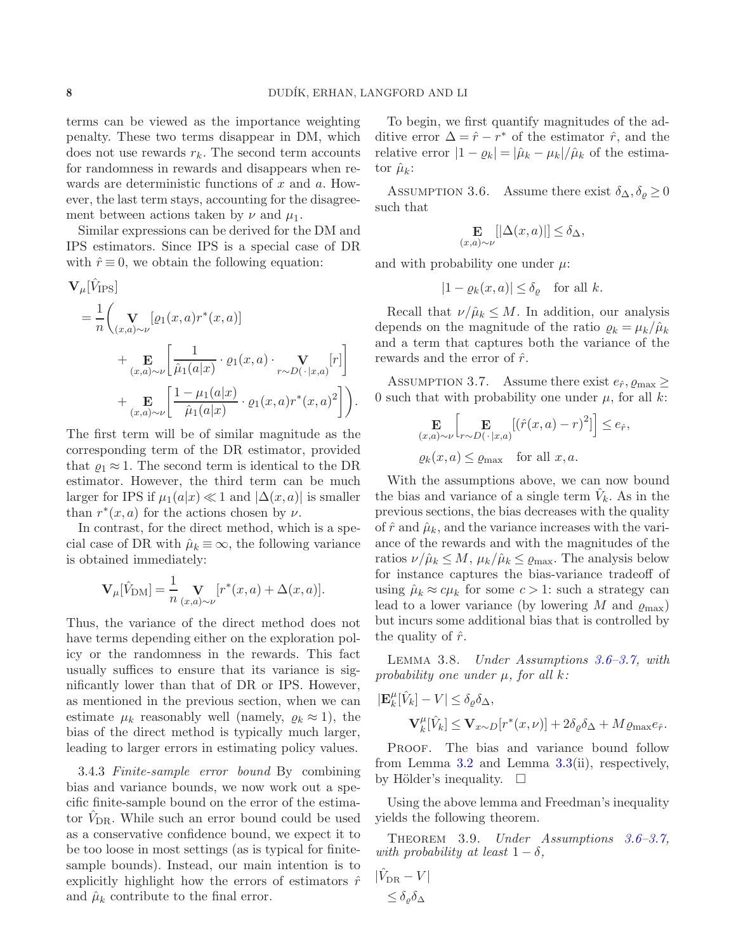terms can be viewed as the importance weighting penalty. These two terms disappear in DM, which does not use rewards  $r_k$ . The second term accounts for randomness in rewards and disappears when rewards are deterministic functions of  $x$  and  $a$ . However, the last term stays, accounting for the disagreement between actions taken by  $\nu$  and  $\mu_1$ .

Similar expressions can be derived for the DM and IPS estimators. Since IPS is a special case of DR with  $\hat{r} \equiv 0$ , we obtain the following equation:

$$
\mathbf{V}_{\mu}[\hat{V}_{\text{IPS}}]
$$
\n
$$
= \frac{1}{n} \left( \mathbf{V}_{(x,a)\sim\nu} [\varrho_1(x,a)r^*(x,a)] + \mathbf{E}_{(x,a)\sim\nu} \left[ \frac{1}{\hat{\mu}_1(a|x)} \cdot \varrho_1(x,a) \cdot \mathbf{V}_{r\sim D(\cdot|x,a)}[r] \right] + \mathbf{E}_{(x,a)\sim\nu} \left[ \frac{1 - \mu_1(a|x)}{\hat{\mu}_1(a|x)} \cdot \varrho_1(x,a)r^*(x,a)^2 \right] \right).
$$

The first term will be of similar magnitude as the corresponding term of the DR estimator, provided that  $\rho_1 \approx 1$ . The second term is identical to the DR estimator. However, the third term can be much larger for IPS if  $\mu_1(a|x) \ll 1$  and  $|\Delta(x, a)|$  is smaller than  $r^*(x, a)$  for the actions chosen by  $\nu$ .

In contrast, for the direct method, which is a special case of DR with  $\hat{\mu}_k \equiv \infty$ , the following variance is obtained immediately:

$$
\mathbf{V}_{\mu}[\hat{V}_{\rm DM}] = \frac{1}{n} \mathbf{V}_{(x,a)\sim\nu} [r^*(x,a) + \Delta(x,a)].
$$

Thus, the variance of the direct method does not have terms depending either on the exploration policy or the randomness in the rewards. This fact usually suffices to ensure that its variance is significantly lower than that of DR or IPS. However, as mentioned in the previous section, when we can estimate  $\mu_k$  reasonably well (namely,  $\rho_k \approx 1$ ), the bias of the direct method is typically much larger, leading to larger errors in estimating policy values.

<span id="page-7-4"></span>3.4.3 Finite-sample error bound By combining bias and variance bounds, we now work out a specific finite-sample bound on the error of the estimator  $V_{\text{DR}}$ . While such an error bound could be used as a conservative confidence bound, we expect it to be too loose in most settings (as is typical for finitesample bounds). Instead, our main intention is to explicitly highlight how the errors of estimators  $\hat{r}$ and  $\hat{\mu}_k$  contribute to the final error.

To begin, we first quantify magnitudes of the additive error  $\Delta = \hat{r} - r^*$  of the estimator  $\hat{r}$ , and the relative error  $|1 - \varrho_k| = |\hat{\mu}_k - \mu_k| / \hat{\mu}_k$  of the estimator  $\hat{\mu}_k$ :

<span id="page-7-0"></span>ASSUMPTION 3.6. Assume there exist  $\delta_{\Delta}, \delta_{\rho} \geq 0$ such that

$$
\mathop{\mathbf{E}}\limits_{(x,a)\sim\nu} [|\Delta(x,a)|] \le \delta_{\Delta},
$$

and with probability one under  $\mu$ :

<span id="page-7-1"></span>
$$
|1 - \varrho_k(x, a)| \le \delta_{\varrho} \quad \text{for all } k.
$$

Recall that  $\nu/\hat{\mu}_k \leq M$ . In addition, our analysis depends on the magnitude of the ratio  $\rho_k = \mu_k/\hat{\mu}_k$ and a term that captures both the variance of the rewards and the error of  $\hat{r}$ .

ASSUMPTION 3.7. Assume there exist  $e_{\hat{r}}$ ,  $\varrho_{\text{max}} \geq$ 0 such that with probability one under  $\mu$ , for all k:

$$
\mathbf{E}_{(x,a)\sim\nu} \Big[ \mathbf{E}_{r\sim D(\cdot|x,a)} [(\hat{r}(x,a)-r)^2] \Big] \le e_{\hat{r}},
$$
  

$$
\varrho_k(x,a) \le \varrho_{\text{max}} \quad \text{for all } x,a.
$$

With the assumptions above, we can now bound the bias and variance of a single term  $\hat{V}_k$ . As in the previous sections, the bias decreases with the quality of  $\hat{r}$  and  $\hat{\mu}_k$ , and the variance increases with the variance of the rewards and with the magnitudes of the ratios  $\nu/\hat{\mu}_k \leq M$ ,  $\mu_k/\hat{\mu}_k \leq \varrho_{\text{max}}$ . The analysis below for instance captures the bias-variance tradeoff of using  $\hat{\mu}_k \approx c \mu_k$  for some  $c > 1$ : such a strategy can lead to a lower variance (by lowering M and  $\varrho_{\text{max}}$ ) but incurs some additional bias that is controlled by the quality of  $\hat{r}$ .

<span id="page-7-2"></span>LEMMA 3.8. Under Assumptions [3.6](#page-7-0)[–3.7,](#page-7-1) with probability one under  $\mu$ , for all  $k$ :

$$
|\mathbf{E}_{k}^{\mu}[\hat{V}_{k}] - V| \leq \delta_{\varrho} \delta_{\Delta},
$$
  

$$
\mathbf{V}_{k}^{\mu}[\hat{V}_{k}] \leq \mathbf{V}_{x \sim D}[r^{*}(x, \nu)] + 2\delta_{\varrho} \delta_{\Delta} + M \varrho_{\max} e_{\hat{r}}.
$$

PROOF. The bias and variance bound follow from Lemma  $3.2$  and Lemma  $3.3$ (ii), respectively, by Hölder's inequality.  $\square$ 

Using the above lemma and Freedman's inequality yields the following theorem.

<span id="page-7-3"></span>THEOREM 3.9. Under Assumptions [3.6](#page-7-0)-3.7, with probability at least  $1 - \delta$ ,

$$
\begin{aligned} |\hat{V}_{\text{DR}} - V| \\ &\le \delta_{\varrho} \delta_{\Delta} \end{aligned}
$$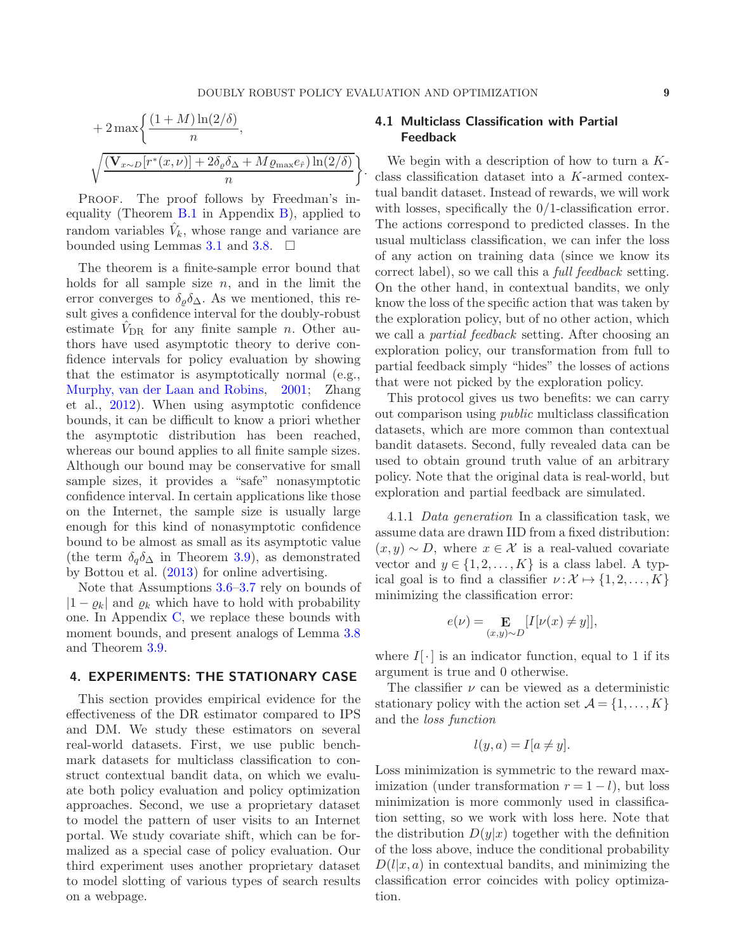.

+ 
$$
2 \max \left\{ \frac{(1+M) \ln(2/\delta)}{n}, \frac{\sqrt{(\mathbf{V}_{x \sim D} [r^*(x,\nu)] + 2\delta_{\rho} \delta_{\Delta} + M \varrho_{\max} e_{\hat{r}}) \ln(2/\delta)}}{n} \right\}
$$

PROOF. The proof follows by Freedman's inequality (Theorem  $B.1$  in Appendix  $B$ ), applied to random variables  $\hat{V}_k$ , whose range and variance are bounded using Lemmas [3.1](#page-5-3) and [3.8.](#page-7-2)  $\Box$ 

The theorem is a finite-sample error bound that holds for all sample size  $n$ , and in the limit the error converges to  $\delta_{\rho}\delta_{\Delta}$ . As we mentioned, this result gives a confidence interval for the doubly-robust estimate  $V_{\text{DR}}$  for any finite sample n. Other authors have used asymptotic theory to derive confidence intervals for policy evaluation by showing that the estimator is asymptotically normal (e.g., [Murphy, van der Laan and Robins](#page-27-6), [2001;](#page-27-6) Zhang et al., [2012](#page-27-9)). When using asymptotic confidence bounds, it can be difficult to know a priori whether the asymptotic distribution has been reached, whereas our bound applies to all finite sample sizes. Although our bound may be conservative for small sample sizes, it provides a "safe" nonasymptotic confidence interval. In certain applications like those on the Internet, the sample size is usually large enough for this kind of nonasymptotic confidence bound to be almost as small as its asymptotic value (the term  $\delta_q \delta_\Delta$  in Theorem [3.9\)](#page-7-3), as demonstrated by Bottou et al. [\(2013\)](#page-26-8) for online advertising.

Note that Assumptions [3.6–](#page-7-0)[3.7](#page-7-1) rely on bounds of  $|1 - \varrho_k|$  and  $\varrho_k$  which have to hold with probability one. In Appendix [C,](#page-22-0) we replace these bounds with moment bounds, and present analogs of Lemma [3.8](#page-7-2) and Theorem [3.9.](#page-7-3)

## <span id="page-8-0"></span>4. EXPERIMENTS: THE STATIONARY CASE

This section provides empirical evidence for the effectiveness of the DR estimator compared to IPS and DM. We study these estimators on several real-world datasets. First, we use public benchmark datasets for multiclass classification to construct contextual bandit data, on which we evaluate both policy evaluation and policy optimization approaches. Second, we use a proprietary dataset to model the pattern of user visits to an Internet portal. We study covariate shift, which can be formalized as a special case of policy evaluation. Our third experiment uses another proprietary dataset to model slotting of various types of search results on a webpage.

# <span id="page-8-1"></span>4.1 Multiclass Classification with Partial Feedback

We begin with a description of how to turn a Kclass classification dataset into a K-armed contextual bandit dataset. Instead of rewards, we will work with losses, specifically the  $0/1$ -classification error. The actions correspond to predicted classes. In the usual multiclass classification, we can infer the loss of any action on training data (since we know its correct label), so we call this a full feedback setting. On the other hand, in contextual bandits, we only know the loss of the specific action that was taken by the exploration policy, but of no other action, which we call a partial feedback setting. After choosing an exploration policy, our transformation from full to partial feedback simply "hides" the losses of actions that were not picked by the exploration policy.

This protocol gives us two benefits: we can carry out comparison using public multiclass classification datasets, which are more common than contextual bandit datasets. Second, fully revealed data can be used to obtain ground truth value of an arbitrary policy. Note that the original data is real-world, but exploration and partial feedback are simulated.

<span id="page-8-2"></span>4.1.1 Data generation In a classification task, we assume data are drawn IID from a fixed distribution:  $(x, y) \sim D$ , where  $x \in \mathcal{X}$  is a real-valued covariate vector and  $y \in \{1, 2, ..., K\}$  is a class label. A typical goal is to find a classifier  $\nu : \mathcal{X} \mapsto \{1, 2, \ldots, K\}$ minimizing the classification error:

$$
e(\nu) = \mathop{\mathbf{E}}_{(x,y)\sim D} [I[\nu(x) \neq y]],
$$

where  $I[\cdot]$  is an indicator function, equal to 1 if its argument is true and 0 otherwise.

The classifier  $\nu$  can be viewed as a deterministic stationary policy with the action set  $\mathcal{A} = \{1, \ldots, K\}$ and the loss function

$$
l(y, a) = I[a \neq y].
$$

Loss minimization is symmetric to the reward maximization (under transformation  $r = 1 - l$ ), but loss minimization is more commonly used in classification setting, so we work with loss here. Note that the distribution  $D(y|x)$  together with the definition of the loss above, induce the conditional probability  $D(l|x, a)$  in contextual bandits, and minimizing the classification error coincides with policy optimization.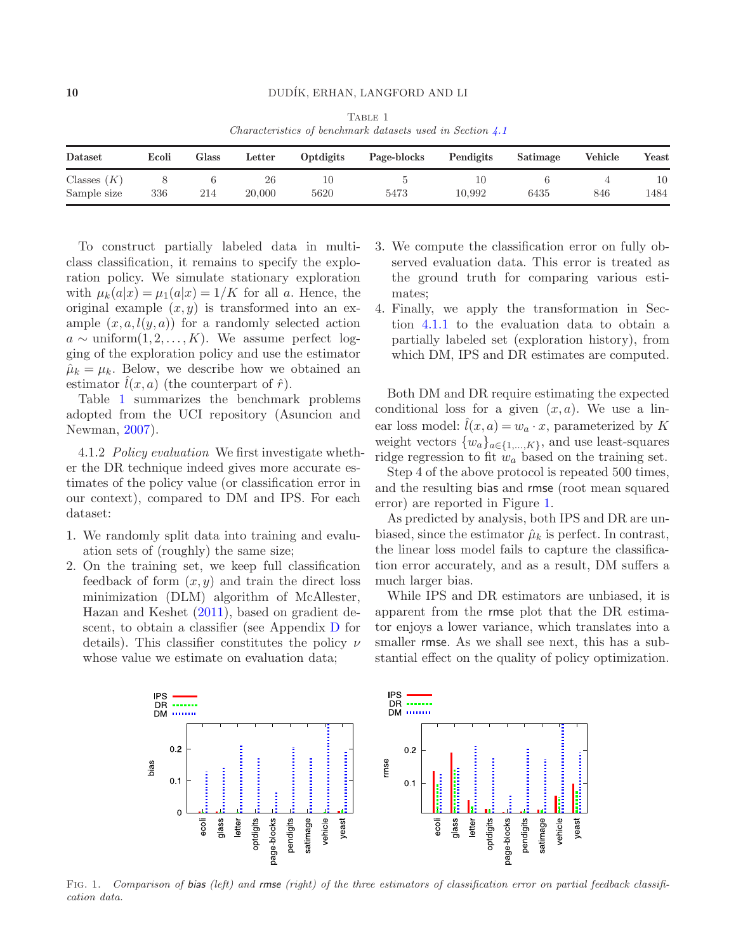#### 10 DUDÍK, ERHAN, LANGFORD AND LI

| TABLE 1                                                            |  |  |  |  |  |  |  |  |
|--------------------------------------------------------------------|--|--|--|--|--|--|--|--|
| Characteristics of benchmark datasets used in Section $\angle 1$ . |  |  |  |  |  |  |  |  |

<span id="page-9-0"></span>

| Dataset       | Ecoli | Glass | $_{\rm Letter}$ | Optdigits | Page-blocks | Pendigits | Satimage | Vehicle | $\rm{Yeast}$ |
|---------------|-------|-------|-----------------|-----------|-------------|-----------|----------|---------|--------------|
| Classes $(K)$ |       |       | 26              | 10        |             | 10        |          |         | 10           |
| Sample size   | 336   | 214   | 20,000          | 5620      | 5473        | 10.992    | 6435     | 846     | 1484         |

To construct partially labeled data in multiclass classification, it remains to specify the exploration policy. We simulate stationary exploration with  $\mu_k(a|x) = \mu_1(a|x) = 1/K$  for all a. Hence, the original example  $(x, y)$  is transformed into an example  $(x, a, l(y, a))$  for a randomly selected action  $a \sim \text{uniform}(1, 2, \ldots, K)$ . We assume perfect logging of the exploration policy and use the estimator  $\hat{\mu}_k = \mu_k$ . Below, we describe how we obtained an estimator  $l(x, a)$  (the counterpart of  $\hat{r}$ ).

Table [1](#page-9-0) summarizes the benchmark problems adopted from the UCI repository (Asuncion and Newman, [2007](#page-26-18)).

4.1.2 Policy evaluation We first investigate whether the DR technique indeed gives more accurate estimates of the policy value (or classification error in our context), compared to DM and IPS. For each dataset:

- 1. We randomly split data into training and evaluation sets of (roughly) the same size;
- 2. On the training set, we keep full classification feedback of form  $(x, y)$  and train the direct loss minimization (DLM) algorithm of McAllester, Hazan and Keshet [\(2011](#page-26-19)), based on gradient descent, to obtain a classifier (see Appendix [D](#page-22-1) for details). This classifier constitutes the policy  $\nu$ whose value we estimate on evaluation data;
- 3. We compute the classification error on fully observed evaluation data. This error is treated as the ground truth for comparing various estimates;
- 4. Finally, we apply the transformation in Section [4.1.1](#page-8-2) to the evaluation data to obtain a partially labeled set (exploration history), from which DM, IPS and DR estimates are computed.

Both DM and DR require estimating the expected conditional loss for a given  $(x, a)$ . We use a linear loss model:  $l(x, a) = w_a \cdot x$ , parameterized by K weight vectors  $\{w_a\}_{a \in \{1,\dots,K\}}$ , and use least-squares ridge regression to fit  $w_a$  based on the training set.

Step 4 of the above protocol is repeated 500 times, and the resulting bias and rmse (root mean squared error) are reported in Figure [1.](#page-9-1)

As predicted by analysis, both IPS and DR are unbiased, since the estimator  $\hat{\mu}_k$  is perfect. In contrast, the linear loss model fails to capture the classification error accurately, and as a result, DM suffers a much larger bias.

While IPS and DR estimators are unbiased, it is apparent from the rmse plot that the DR estimator enjoys a lower variance, which translates into a smaller rmse. As we shall see next, this has a substantial effect on the quality of policy optimization.



<span id="page-9-1"></span>Fig. 1. Comparison of bias (left) and rmse (right) of the three estimators of classification error on partial feedback classification data.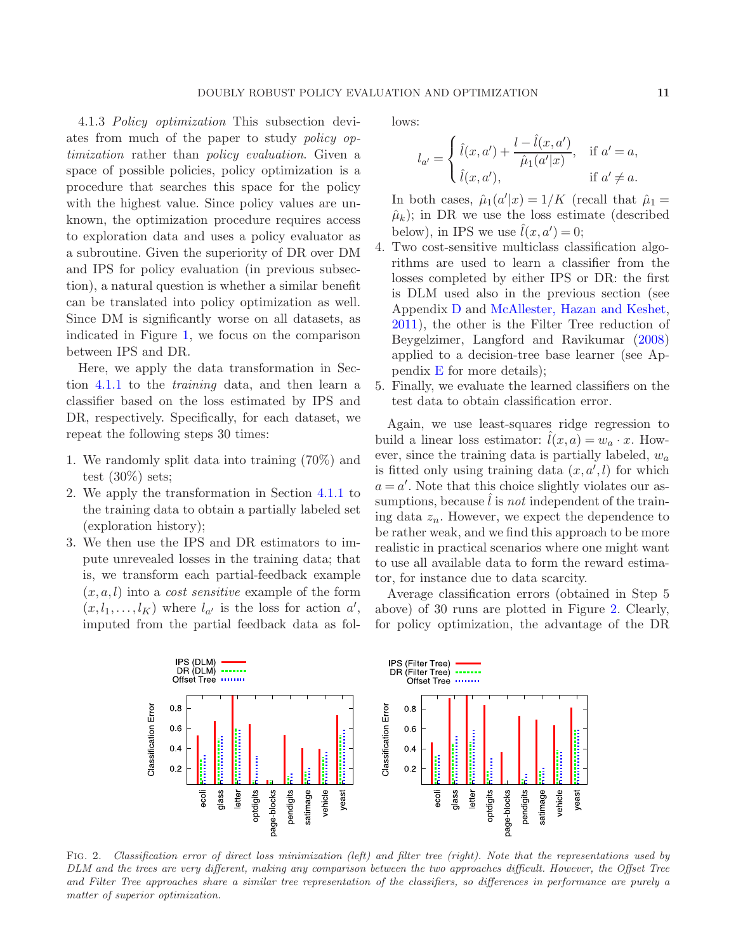<span id="page-10-1"></span>4.1.3 Policy optimization This subsection deviates from much of the paper to study policy optimization rather than policy evaluation. Given a space of possible policies, policy optimization is a procedure that searches this space for the policy with the highest value. Since policy values are unknown, the optimization procedure requires access to exploration data and uses a policy evaluator as a subroutine. Given the superiority of DR over DM and IPS for policy evaluation (in previous subsection), a natural question is whether a similar benefit can be translated into policy optimization as well. Since DM is significantly worse on all datasets, as indicated in Figure [1,](#page-9-1) we focus on the comparison between IPS and DR.

Here, we apply the data transformation in Section [4.1.1](#page-8-2) to the training data, and then learn a classifier based on the loss estimated by IPS and DR, respectively. Specifically, for each dataset, we repeat the following steps 30 times:

- 1. We randomly split data into training (70%) and test  $(30\%)$  sets;
- 2. We apply the transformation in Section [4.1.1](#page-8-2) to the training data to obtain a partially labeled set (exploration history);
- 3. We then use the IPS and DR estimators to impute unrevealed losses in the training data; that is, we transform each partial-feedback example  $(x, a, l)$  into a *cost sensitive* example of the form  $(x, l_1, \ldots, l_K)$  where  $l_{a'}$  is the loss for action  $a'$ , imputed from the partial feedback data as fol-

lows:

$$
l_{a'} = \begin{cases} \hat{l}(x, a') + \frac{l - \hat{l}(x, a')}{\hat{\mu}_1(a' | x)}, & \text{if } a' = a, \\ \hat{l}(x, a'), & \text{if } a' \neq a. \end{cases}
$$

In both cases,  $\hat{\mu}_1(a'|x) = 1/K$  (recall that  $\hat{\mu}_1 =$  $(\hat{\mu}_k)$ ; in DR we use the loss estimate (described below), in IPS we use  $\hat{l}(x, a') = 0;$ 

- 4. Two cost-sensitive multiclass classification algorithms are used to learn a classifier from the losses completed by either IPS or DR: the first is DLM used also in the previous section (see Appendix [D](#page-22-1) and [McAllester, Hazan and Keshet](#page-26-19), [2011\)](#page-26-19), the other is the Filter Tree reduction of Beygelzimer, Langford and Ravikumar [\(2008\)](#page-26-20) applied to a decision-tree base learner (see Appendix [E](#page-22-2) for more details);
- 5. Finally, we evaluate the learned classifiers on the test data to obtain classification error.

Again, we use least-squares ridge regression to build a linear loss estimator:  $l(x, a) = w_a \cdot x$ . However, since the training data is partially labeled,  $w_a$ is fitted only using training data  $(x, a', l)$  for which  $a = a'$ . Note that this choice slightly violates our assumptions, because  $\hat{l}$  is not independent of the training data  $z_n$ . However, we expect the dependence to be rather weak, and we find this approach to be more realistic in practical scenarios where one might want to use all available data to form the reward estimator, for instance due to data scarcity.

Average classification errors (obtained in Step 5 above) of 30 runs are plotted in Figure [2.](#page-10-0) Clearly, for policy optimization, the advantage of the DR



<span id="page-10-0"></span>Fig. 2. Classification error of direct loss minimization (left) and filter tree (right). Note that the representations used by DLM and the trees are very different, making any comparison between the two approaches difficult. However, the Offset Tree and Filter Tree approaches share a similar tree representation of the classifiers, so differences in performance are purely a matter of superior optimization.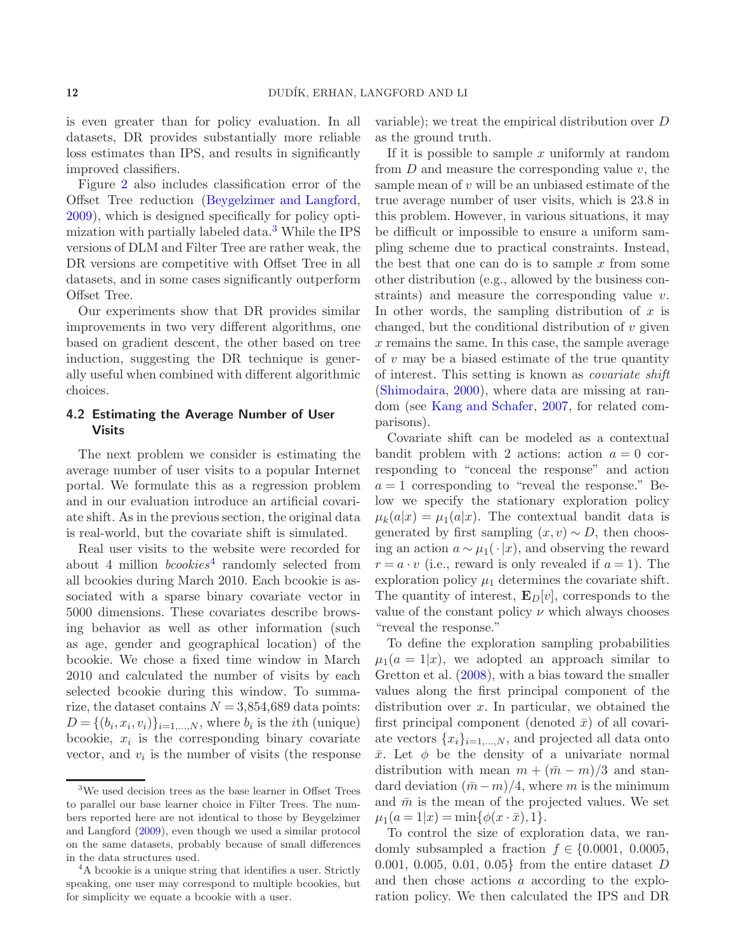is even greater than for policy evaluation. In all datasets, DR provides substantially more reliable loss estimates than IPS, and results in significantly improved classifiers.

Figure [2](#page-10-0) also includes classification error of the Offset Tree reduction [\(Beygelzimer and Langford](#page-26-17), [2009\)](#page-26-17), which is designed specifically for policy optimization with partially labeled data.[3](#page-11-0) While the IPS versions of DLM and Filter Tree are rather weak, the DR versions are competitive with Offset Tree in all datasets, and in some cases significantly outperform Offset Tree.

Our experiments show that DR provides similar improvements in two very different algorithms, one based on gradient descent, the other based on tree induction, suggesting the DR technique is generally useful when combined with different algorithmic choices.

# 4.2 Estimating the Average Number of User Visits

The next problem we consider is estimating the average number of user visits to a popular Internet portal. We formulate this as a regression problem and in our evaluation introduce an artificial covariate shift. As in the previous section, the original data is real-world, but the covariate shift is simulated.

Real user visits to the website were recorded for about [4](#page-11-1) million  $b \textit{cookies}^4$  randomly selected from all bcookies during March 2010. Each bcookie is associated with a sparse binary covariate vector in 5000 dimensions. These covariates describe browsing behavior as well as other information (such as age, gender and geographical location) of the bcookie. We chose a fixed time window in March 2010 and calculated the number of visits by each selected bcookie during this window. To summarize, the dataset contains  $N = 3,854,689$  data points:  $D = \{(b_i, x_i, v_i)\}_{i=1,\dots,N}$ , where  $b_i$  is the *i*th (unique) bcookie,  $x_i$  is the corresponding binary covariate vector, and  $v_i$  is the number of visits (the response variable); we treat the empirical distribution over D as the ground truth.

If it is possible to sample  $x$  uniformly at random from  $D$  and measure the corresponding value  $v$ , the sample mean of  $v$  will be an unbiased estimate of the true average number of user visits, which is 23.8 in this problem. However, in various situations, it may be difficult or impossible to ensure a uniform sampling scheme due to practical constraints. Instead, the best that one can do is to sample  $x$  from some other distribution (e.g., allowed by the business constraints) and measure the corresponding value  $v$ . In other words, the sampling distribution of  $x$  is changed, but the conditional distribution of  $v$  given  $x$  remains the same. In this case, the sample average of  $v$  may be a biased estimate of the true quantity of interest. This setting is known as covariate shift [\(Shimodaira,](#page-27-13) [2000](#page-27-13)), where data are missing at random (see [Kang and Schafer](#page-26-12), [2007](#page-26-12), for related comparisons).

Covariate shift can be modeled as a contextual bandit problem with 2 actions: action  $a = 0$  corresponding to "conceal the response" and action  $a = 1$  corresponding to "reveal the response." Below we specify the stationary exploration policy  $\mu_k(a|x) = \mu_1(a|x)$ . The contextual bandit data is generated by first sampling  $(x, v) \sim D$ , then choosing an action  $a \sim \mu_1(\cdot | x)$ , and observing the reward  $r = a \cdot v$  (i.e., reward is only revealed if  $a = 1$ ). The exploration policy  $\mu_1$  determines the covariate shift. The quantity of interest,  $\mathbf{E}_D[v]$ , corresponds to the value of the constant policy  $\nu$  which always chooses "reveal the response."

To define the exploration sampling probabilities  $\mu_1(a=1|x)$ , we adopted an approach similar to Gretton et al. [\(2008](#page-26-21)), with a bias toward the smaller values along the first principal component of the distribution over  $x$ . In particular, we obtained the first principal component (denoted  $\bar{x}$ ) of all covariate vectors  $\{x_i\}_{i=1,\dots,N}$ , and projected all data onto  $\bar{x}$ . Let  $\phi$  be the density of a univariate normal distribution with mean  $m + (\bar{m} - m)/3$  and standard deviation  $(\bar{m}-m)/4$ , where m is the minimum and  $\bar{m}$  is the mean of the projected values. We set  $\mu_1(a=1|x) = \min{\{\phi(x \cdot \bar{x}), 1\}}.$ 

To control the size of exploration data, we randomly subsampled a fraction  $f \in \{0.0001, 0.0005,$ 0.001, 0.005, 0.01, 0.05} from the entire dataset  $D$ and then chose actions a according to the exploration policy. We then calculated the IPS and DR

<span id="page-11-0"></span><sup>&</sup>lt;sup>3</sup>We used decision trees as the base learner in Offset Trees to parallel our base learner choice in Filter Trees. The numbers reported here are not identical to those by Beygelzimer and Langford [\(2009](#page-26-17)), even though we used a similar protocol on the same datasets, probably because of small differences in the data structures used.

<span id="page-11-1"></span><sup>&</sup>lt;sup>4</sup>A bcookie is a unique string that identifies a user. Strictly speaking, one user may correspond to multiple bcookies, but for simplicity we equate a bcookie with a user.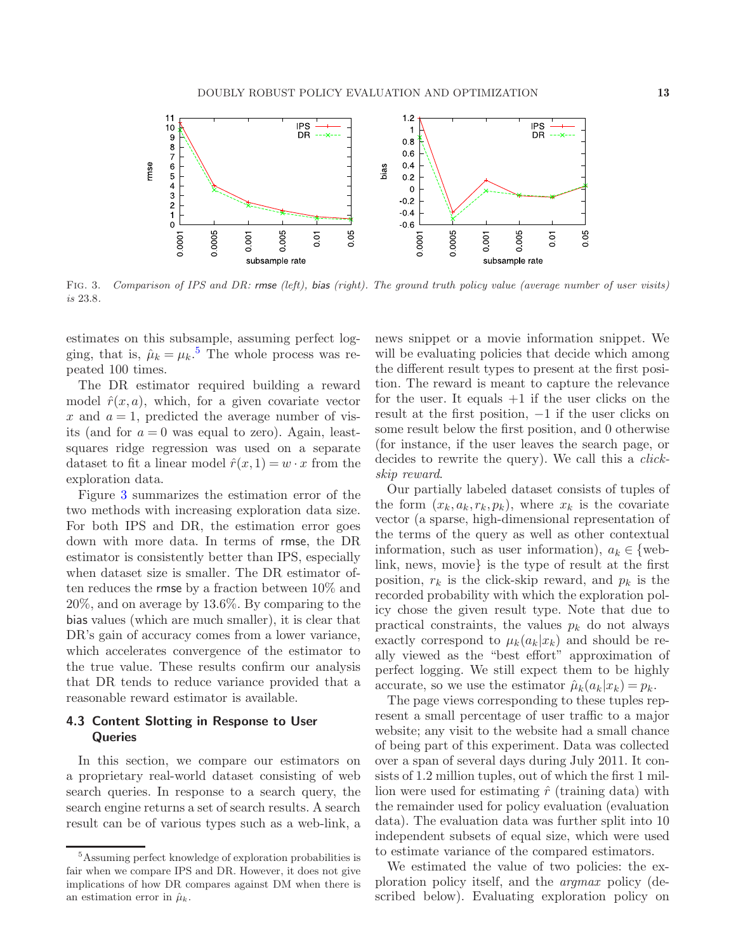

<span id="page-12-1"></span>FIG. 3. Comparison of IPS and DR: rmse (left), bias (right). The ground truth policy value (average number of user visits) is 23.8.

estimates on this subsample, assuming perfect logging, that is,  $\hat{\mu}_k = \mu_k$ .<sup>[5](#page-12-0)</sup> The whole process was repeated 100 times.

The DR estimator required building a reward model  $\hat{r}(x, a)$ , which, for a given covariate vector x and  $a = 1$ , predicted the average number of visits (and for  $a = 0$  was equal to zero). Again, leastsquares ridge regression was used on a separate dataset to fit a linear model  $\hat{r}(x, 1) = w \cdot x$  from the exploration data.

Figure [3](#page-12-1) summarizes the estimation error of the two methods with increasing exploration data size. For both IPS and DR, the estimation error goes down with more data. In terms of rmse, the DR estimator is consistently better than IPS, especially when dataset size is smaller. The DR estimator often reduces the rmse by a fraction between 10% and 20%, and on average by 13.6%. By comparing to the bias values (which are much smaller), it is clear that DR's gain of accuracy comes from a lower variance, which accelerates convergence of the estimator to the true value. These results confirm our analysis that DR tends to reduce variance provided that a reasonable reward estimator is available.

# 4.3 Content Slotting in Response to User **Queries**

In this section, we compare our estimators on a proprietary real-world dataset consisting of web search queries. In response to a search query, the search engine returns a set of search results. A search result can be of various types such as a web-link, a news snippet or a movie information snippet. We will be evaluating policies that decide which among the different result types to present at the first position. The reward is meant to capture the relevance for the user. It equals  $+1$  if the user clicks on the result at the first position, −1 if the user clicks on some result below the first position, and 0 otherwise (for instance, if the user leaves the search page, or decides to rewrite the query). We call this a *click*skip reward.

Our partially labeled dataset consists of tuples of the form  $(x_k, a_k, r_k, p_k)$ , where  $x_k$  is the covariate vector (a sparse, high-dimensional representation of the terms of the query as well as other contextual information, such as user information),  $a_k \in \{\text{web-}$ link, news, movie} is the type of result at the first position,  $r_k$  is the click-skip reward, and  $p_k$  is the recorded probability with which the exploration policy chose the given result type. Note that due to practical constraints, the values  $p_k$  do not always exactly correspond to  $\mu_k(a_k|x_k)$  and should be really viewed as the "best effort" approximation of perfect logging. We still expect them to be highly accurate, so we use the estimator  $\hat{\mu}_k(a_k|x_k) = p_k$ .

The page views corresponding to these tuples represent a small percentage of user traffic to a major website; any visit to the website had a small chance of being part of this experiment. Data was collected over a span of several days during July 2011. It consists of 1.2 million tuples, out of which the first 1 million were used for estimating  $\hat{r}$  (training data) with the remainder used for policy evaluation (evaluation data). The evaluation data was further split into 10 independent subsets of equal size, which were used to estimate variance of the compared estimators.

We estimated the value of two policies: the exploration policy itself, and the argmax policy (described below). Evaluating exploration policy on

<span id="page-12-0"></span><sup>5</sup>Assuming perfect knowledge of exploration probabilities is fair when we compare IPS and DR. However, it does not give implications of how DR compares against DM when there is an estimation error in  $\hat{\mu}_k$ .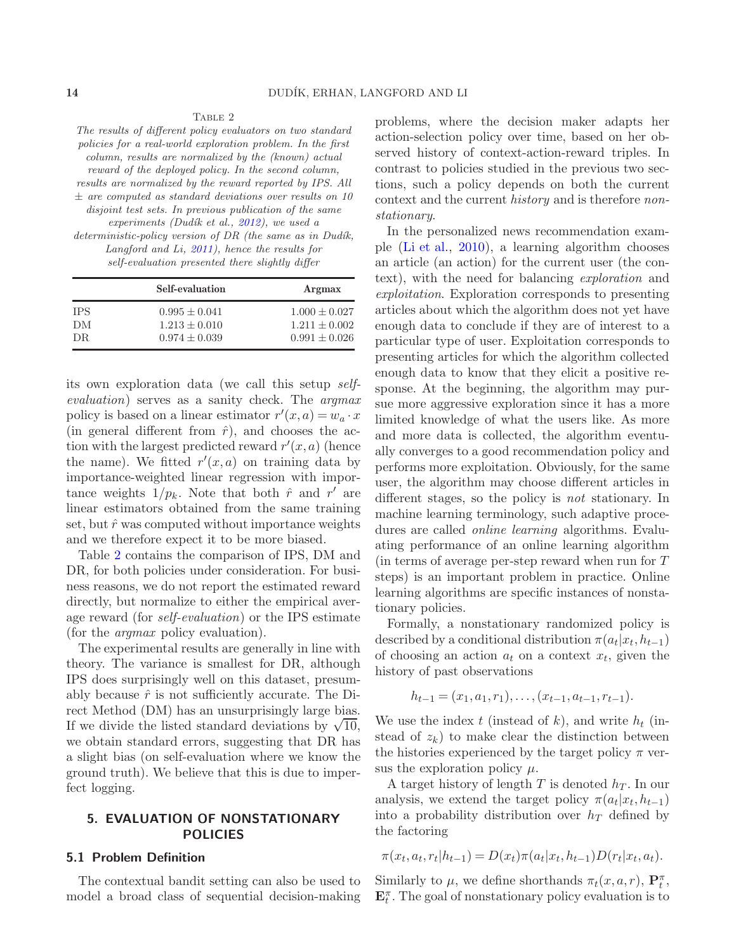## TABLE 2

<span id="page-13-1"></span>The results of different policy evaluators on two standard policies for a real-world exploration problem. In the first column, results are normalized by the (known) actual reward of the deployed policy. In the second column, results are normalized by the reward reported by IPS. All  $\pm$  are computed as standard deviations over results on 10 disjoint test sets. In previous publication of the same experiments (Dudík et al.,  $2012$ ), we used a

 $deterministic\text{-}policy version of DR$  (the same as in Dudík, Langford and Li, [2011](#page-26-2)), hence the results for self-evaluation presented there slightly differ

|                  | Self-evaluation                      | Argmax                               |
|------------------|--------------------------------------|--------------------------------------|
| <b>IPS</b><br>DМ | $0.995 + 0.041$<br>$1.213 \pm 0.010$ | $1.000 \pm 0.027$<br>$1.211 + 0.002$ |
| DR.              | $0.974 + 0.039$                      | $0.991 \pm 0.026$                    |

its own exploration data (we call this setup selfevaluation) serves as a sanity check. The argmax policy is based on a linear estimator  $r'(x, a) = w_a \cdot x$ (in general different from  $\hat{r}$ ), and chooses the action with the largest predicted reward  $r'(x, a)$  (hence the name). We fitted  $r'(x, a)$  on training data by importance-weighted linear regression with importance weights  $1/p_k$ . Note that both  $\hat{r}$  and  $r'$  are linear estimators obtained from the same training set, but  $\hat{r}$  was computed without importance weights and we therefore expect it to be more biased.

Table [2](#page-13-1) contains the comparison of IPS, DM and DR, for both policies under consideration. For business reasons, we do not report the estimated reward directly, but normalize to either the empirical average reward (for self-evaluation) or the IPS estimate (for the argmax policy evaluation).

The experimental results are generally in line with theory. The variance is smallest for DR, although IPS does surprisingly well on this dataset, presumably because  $\hat{r}$  is not sufficiently accurate. The Direct Method (DM) has an unsurprisingly large bias. If we divide the listed standard deviations by  $\sqrt{10}$ , we obtain standard errors, suggesting that DR has a slight bias (on self-evaluation where we know the ground truth). We believe that this is due to imperfect logging.

# <span id="page-13-0"></span>5. EVALUATION OF NONSTATIONARY POLICIES

## 5.1 Problem Definition

The contextual bandit setting can also be used to model a broad class of sequential decision-making problems, where the decision maker adapts her action-selection policy over time, based on her observed history of context-action-reward triples. In contrast to policies studied in the previous two sections, such a policy depends on both the current context and the current history and is therefore nonstationary.

In the personalized news recommendation example [\(Li et al.](#page-26-6), [2010](#page-26-6)), a learning algorithm chooses an article (an action) for the current user (the context), with the need for balancing exploration and exploitation. Exploration corresponds to presenting articles about which the algorithm does not yet have enough data to conclude if they are of interest to a particular type of user. Exploitation corresponds to presenting articles for which the algorithm collected enough data to know that they elicit a positive response. At the beginning, the algorithm may pursue more aggressive exploration since it has a more limited knowledge of what the users like. As more and more data is collected, the algorithm eventually converges to a good recommendation policy and performs more exploitation. Obviously, for the same user, the algorithm may choose different articles in different stages, so the policy is not stationary. In machine learning terminology, such adaptive procedures are called online learning algorithms. Evaluating performance of an online learning algorithm (in terms of average per-step reward when run for T steps) is an important problem in practice. Online learning algorithms are specific instances of nonstationary policies.

Formally, a nonstationary randomized policy is described by a conditional distribution  $\pi(a_t|x_t, h_{t-1})$ of choosing an action  $a_t$  on a context  $x_t$ , given the history of past observations

$$
h_{t-1}=(x_1,a_1,r_1),\ldots,(x_{t-1},a_{t-1},r_{t-1}).
$$

We use the index t (instead of k), and write  $h_t$  (instead of  $z_k$ ) to make clear the distinction between the histories experienced by the target policy  $\pi$  versus the exploration policy  $\mu$ .

A target history of length T is denoted  $h_T$ . In our analysis, we extend the target policy  $\pi(a_t|x_t, h_{t-1})$ into a probability distribution over  $h_T$  defined by the factoring

$$
\pi(x_t, a_t, r_t | h_{t-1}) = D(x_t) \pi(a_t | x_t, h_{t-1}) D(r_t | x_t, a_t).
$$

Similarly to  $\mu$ , we define shorthands  $\pi_t(x, a, r)$ ,  $\mathbf{P}_t^{\pi}$ ,  $\mathbf{E}_t^{\pi}$ . The goal of nonstationary policy evaluation is to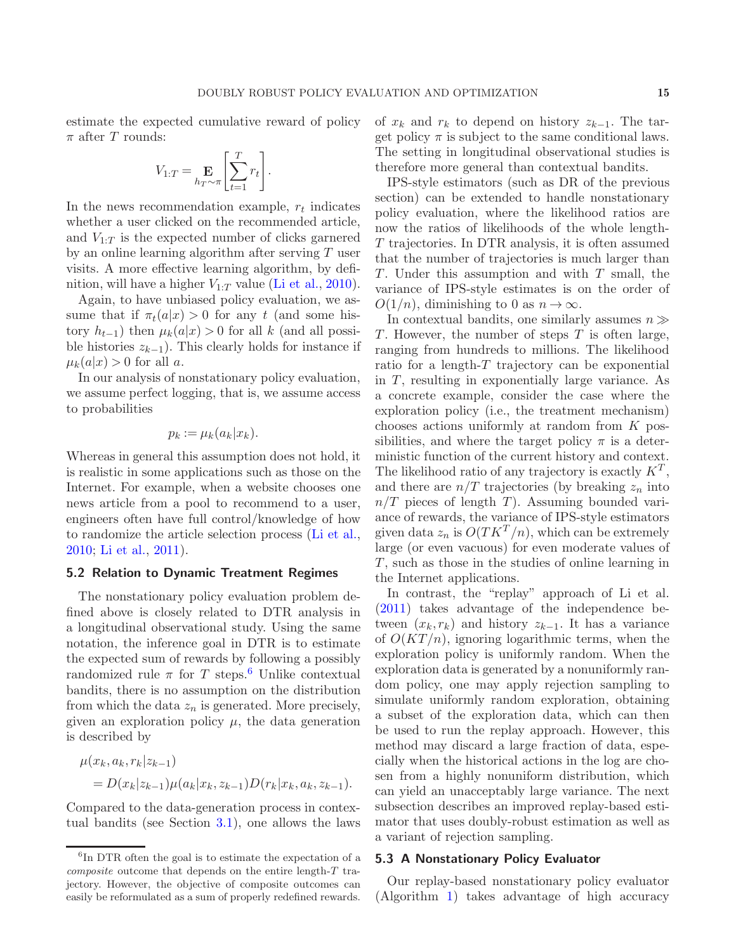estimate the expected cumulative reward of policy  $\pi$  after T rounds:

$$
V_{1:T} = \mathop{\mathbf{E}}\limits_{h_T \sim \pi} \left[ \sum_{t=1}^T r_t \right].
$$

In the news recommendation example,  $r_t$  indicates whether a user clicked on the recommended article, and  $V_{1:T}$  is the expected number of clicks garnered by an online learning algorithm after serving T user visits. A more effective learning algorithm, by definition, will have a higher  $V_{1:T}$  value [\(Li et al.](#page-26-6), [2010\)](#page-26-6).

Again, to have unbiased policy evaluation, we assume that if  $\pi_t(a|x) > 0$  for any t (and some history  $h_{t-1}$ ) then  $\mu_k(a|x) > 0$  for all k (and all possible histories  $z_{k-1}$ ). This clearly holds for instance if  $\mu_k(a|x) > 0$  for all a.

In our analysis of nonstationary policy evaluation, we assume perfect logging, that is, we assume access to probabilities

$$
p_k := \mu_k(a_k|x_k).
$$

Whereas in general this assumption does not hold, it is realistic in some applications such as those on the Internet. For example, when a website chooses one news article from a pool to recommend to a user, engineers often have full control/knowledge of how to randomize the article selection process [\(Li et al.](#page-26-6), [2010;](#page-26-6) [Li et al.](#page-26-13), [2011\)](#page-26-13).

## <span id="page-14-0"></span>5.2 Relation to Dynamic Treatment Regimes

The nonstationary policy evaluation problem defined above is closely related to DTR analysis in a longitudinal observational study. Using the same notation, the inference goal in DTR is to estimate the expected sum of rewards by following a possibly randomized rule  $\pi$  for T steps.<sup>[6](#page-14-1)</sup> Unlike contextual bandits, there is no assumption on the distribution from which the data  $z_n$  is generated. More precisely, given an exploration policy  $\mu$ , the data generation is described by

$$
\mu(x_k, a_k, r_k | z_{k-1})
$$
  
=  $D(x_k | z_{k-1}) \mu(a_k | x_k, z_{k-1}) D(r_k | x_k, a_k, z_{k-1}).$ 

Compared to the data-generation process in contextual bandits (see Section [3.1\)](#page-3-1), one allows the laws of  $x_k$  and  $r_k$  to depend on history  $z_{k-1}$ . The target policy  $\pi$  is subject to the same conditional laws. The setting in longitudinal observational studies is therefore more general than contextual bandits.

IPS-style estimators (such as DR of the previous section) can be extended to handle nonstationary policy evaluation, where the likelihood ratios are now the ratios of likelihoods of the whole length-T trajectories. In DTR analysis, it is often assumed that the number of trajectories is much larger than T. Under this assumption and with T small, the variance of IPS-style estimates is on the order of  $O(1/n)$ , diminishing to 0 as  $n \to \infty$ .

In contextual bandits, one similarly assumes  $n \gg$ T. However, the number of steps  $T$  is often large, ranging from hundreds to millions. The likelihood ratio for a length- $T$  trajectory can be exponential in T, resulting in exponentially large variance. As a concrete example, consider the case where the exploration policy (i.e., the treatment mechanism) chooses actions uniformly at random from K possibilities, and where the target policy  $\pi$  is a deterministic function of the current history and context. The likelihood ratio of any trajectory is exactly  $K^T$ , and there are  $n/T$  trajectories (by breaking  $z_n$  into  $n/T$  pieces of length T). Assuming bounded variance of rewards, the variance of IPS-style estimators given data  $z_n$  is  $O(TK^T/n)$ , which can be extremely large (or even vacuous) for even moderate values of T, such as those in the studies of online learning in the Internet applications.

In contrast, the "replay" approach of Li et al. [\(2011](#page-26-13)) takes advantage of the independence between  $(x_k, r_k)$  and history  $z_{k-1}$ . It has a variance of  $O(KT/n)$ , ignoring logarithmic terms, when the exploration policy is uniformly random. When the exploration data is generated by a nonuniformly random policy, one may apply rejection sampling to simulate uniformly random exploration, obtaining a subset of the exploration data, which can then be used to run the replay approach. However, this method may discard a large fraction of data, especially when the historical actions in the log are chosen from a highly nonuniform distribution, which can yield an unacceptably large variance. The next subsection describes an improved replay-based estimator that uses doubly-robust estimation as well as a variant of rejection sampling.

## 5.3 A Nonstationary Policy Evaluator

Our replay-based nonstationary policy evaluator (Algorithm [1\)](#page-15-0) takes advantage of high accuracy

<span id="page-14-1"></span><sup>&</sup>lt;sup>6</sup>In DTR often the goal is to estimate the expectation of a composite outcome that depends on the entire length-T trajectory. However, the objective of composite outcomes can easily be reformulated as a sum of properly redefined rewards.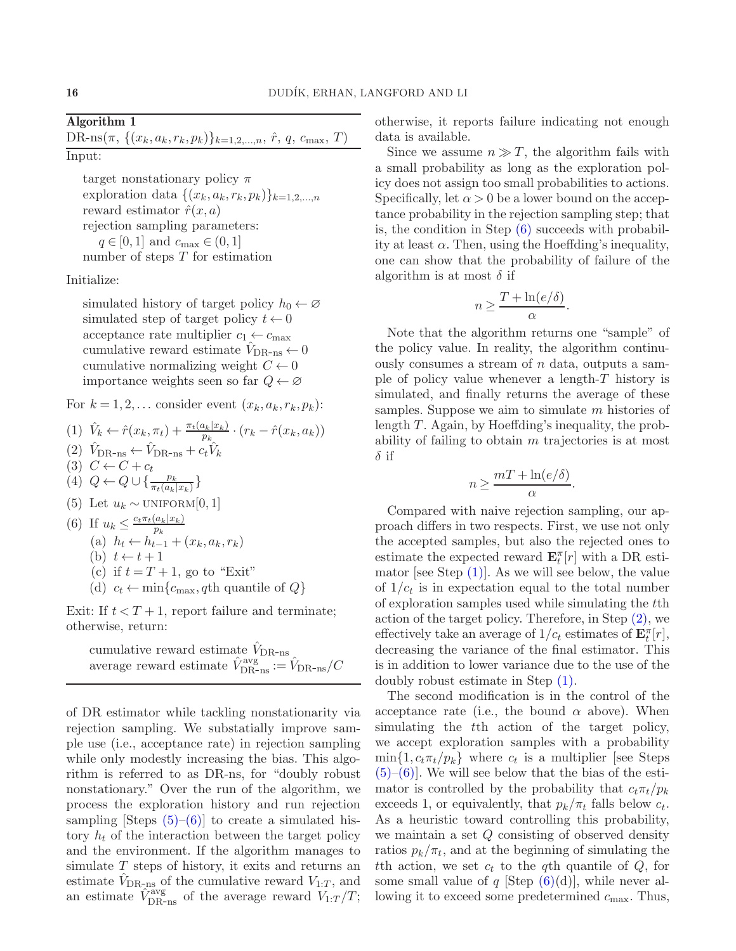Algorithm 1

<span id="page-15-0"></span>DR-ns( $\pi$ ,  $\{(x_k, a_k, r_k, p_k)\}_{k=1,2,\dots,n}$ ,  $\hat{r}$ ,  $q$ ,  $c_{\text{max}}$ ,  $T$ ) Input:

target nonstationary policy  $\pi$ exploration data  $\{(x_k, a_k, r_k, p_k)\}_{k=1,2,\ldots,n}$ reward estimator  $\hat{r}(x, a)$ rejection sampling parameters:  $q \in [0,1]$  and  $c_{\text{max}} \in (0,1]$ number of steps  $T$  for estimation

Initialize:

simulated history of target policy  $h_0 \leftarrow \emptyset$ simulated step of target policy  $t \leftarrow 0$ acceptance rate multiplier  $c_1 \leftarrow c_{\text{max}}$ cumulative reward estimate  $V_{\text{DR-ns}} \leftarrow 0$ cumulative normalizing weight  $C \leftarrow 0$ importance weights seen so far  $Q \leftarrow \emptyset$ 

<span id="page-15-3"></span>For  $k = 1, 2, \ldots$  consider event  $(x_k, a_k, r_k, p_k)$ :

<span id="page-15-4"></span>(1) 
$$
\hat{V}_k \leftarrow \hat{r}(x_k, \pi_t) + \frac{\pi_t(a_k | x_k)}{p_k} \cdot (r_k - \hat{r}(x_k, a_k))
$$

$$
(2) \hat{V}_{\text{DR-ns}} \leftarrow \hat{V}_{\text{DR-ns}} + c_t \hat{V}_k
$$

$$
(3) C \leftarrow C + c_t
$$

$$
(4) \ Q \leftarrow Q \cup \{\frac{p_k}{\pi_t(a_k|x_k)}\}
$$

<span id="page-15-2"></span><span id="page-15-1"></span>(5) Let 
$$
u_k \sim \text{UNIFORM}[0,1]
$$

(6) If 
$$
u_k \leq \frac{c_t \pi_t(a_k | x_k)}{p_k}
$$
  
\n(a)  $h_t \leftarrow h_{t-1} + (x_k, a_k, r_k)$   
\n(b)  $t \leftarrow t+1$   
\n(c) if  $t = T + 1$ , go to "Exit"

(d)  $c_t \leftarrow \min\{c_{\text{max}}, q\text{th quantile of } Q\}$ 

Exit: If  $t < T + 1$ , report failure and terminate; otherwise, return:

cumulative reward estimate  $\hat{V}_{\text{DR-ns}}$ average reward estimate  $\hat{V}_{\text{DR-ns}}^{\text{avg}} := \hat{V}_{\text{DR-ns}}/C$ 

of DR estimator while tackling nonstationarity via rejection sampling. We substatially improve sample use (i.e., acceptance rate) in rejection sampling while only modestly increasing the bias. This algorithm is referred to as DR-ns, for "doubly robust nonstationary." Over the run of the algorithm, we process the exploration history and run rejection sampling [Steps  $(5)-(6)$  $(5)-(6)$ ] to create a simulated history  $h_t$  of the interaction between the target policy and the environment. If the algorithm manages to simulate  $T$  steps of history, it exits and returns and estimate  $\hat{V}_{\text{DR-ns}}$  of the cumulative reward  $V_{1:T}$ , and an estimate  $\hat{V}_{\text{DR-ns}}^{\text{avg}}$  of the average reward  $V_{1:T}/T$ ; otherwise, it reports failure indicating not enough data is available.

Since we assume  $n \gg T$ , the algorithm fails with a small probability as long as the exploration policy does not assign too small probabilities to actions. Specifically, let  $\alpha > 0$  be a lower bound on the acceptance probability in the rejection sampling step; that is, the condition in Step  $(6)$  succeeds with probability at least  $\alpha$ . Then, using the Hoeffding's inequality, one can show that the probability of failure of the algorithm is at most  $\delta$  if

$$
n \ge \frac{T + \ln(e/\delta)}{\alpha}.
$$

Note that the algorithm returns one "sample" of the policy value. In reality, the algorithm continuously consumes a stream of  $n$  data, outputs a sample of policy value whenever a length- $T$  history is simulated, and finally returns the average of these samples. Suppose we aim to simulate  $m$  histories of length T. Again, by Hoeffding's inequality, the probability of failing to obtain  $m$  trajectories is at most  $\delta$  if

$$
n \ge \frac{mT + \ln(e/\delta)}{\alpha}.
$$

Compared with naive rejection sampling, our approach differs in two respects. First, we use not only the accepted samples, but also the rejected ones to estimate the expected reward  $\mathbf{E}_{t}^{\pi}[r]$  with a DR estimator [see Step  $(1)$ ]. As we will see below, the value of  $1/c_t$  is in expectation equal to the total number of exploration samples used while simulating the tth action of the target policy. Therefore, in Step [\(2\),](#page-15-4) we effectively take an average of  $1/c_t$  estimates of  $\mathbf{E}_t^{\pi}[r]$ , decreasing the variance of the final estimator. This is in addition to lower variance due to the use of the doubly robust estimate in Step [\(1\).](#page-15-3)

The second modification is in the control of the acceptance rate (i.e., the bound  $\alpha$  above). When simulating the t<sup>th</sup> action of the target policy, we accept exploration samples with a probability  $\min\{1, c_t\pi_t/p_k\}$  where  $c_t$  is a multiplier [see Steps  $(5)-(6)$  $(5)-(6)$ . We will see below that the bias of the estimator is controlled by the probability that  $c_t\pi_t/p_k$ exceeds 1, or equivalently, that  $p_k/\pi_t$  falls below  $c_t$ . As a heuristic toward controlling this probability, we maintain a set Q consisting of observed density ratios  $p_k/\pi_t$ , and at the beginning of simulating the the action, we set  $c_t$  to the qth quantile of  $Q$ , for some small value of q [Step  $(6)(d)$  $(6)(d)$ ], while never allowing it to exceed some predetermined  $c_{\text{max}}$ . Thus,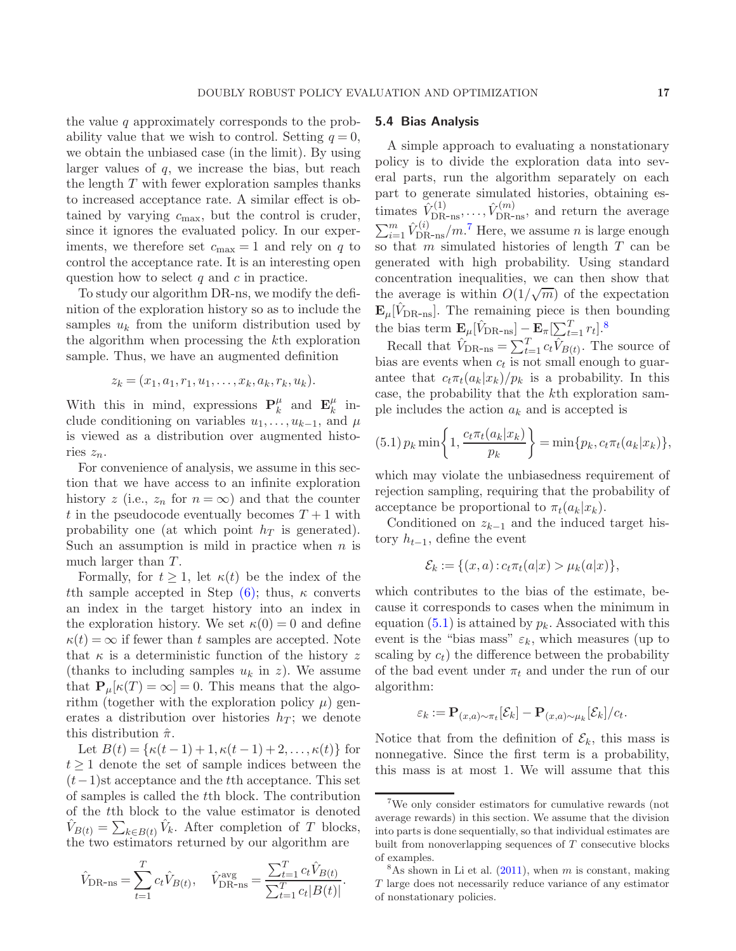the value q approximately corresponds to the probability value that we wish to control. Setting  $q = 0$ , we obtain the unbiased case (in the limit). By using larger values of  $q$ , we increase the bias, but reach the length  $T$  with fewer exploration samples thanks to increased acceptance rate. A similar effect is obtained by varying  $c_{\text{max}}$ , but the control is cruder, since it ignores the evaluated policy. In our experiments, we therefore set  $c_{\text{max}} = 1$  and rely on q to control the acceptance rate. It is an interesting open question how to select  $q$  and  $c$  in practice.

To study our algorithm DR-ns, we modify the definition of the exploration history so as to include the samples  $u_k$  from the uniform distribution used by the algorithm when processing the kth exploration sample. Thus, we have an augmented definition

$$
z_k = (x_1, a_1, r_1, u_1, \ldots, x_k, a_k, r_k, u_k).
$$

With this in mind, expressions  $\mathbf{P}_{k}^{\mu}$  $\frac{\mu}{k}$  and  $\mathbf{E}_k^{\mu}$  $\frac{\mu}{k}$  include conditioning on variables  $u_1, \ldots, u_{k-1}$ , and  $\mu$ is viewed as a distribution over augmented histories  $z_n$ .

For convenience of analysis, we assume in this section that we have access to an infinite exploration history z (i.e.,  $z_n$  for  $n = \infty$ ) and that the counter t in the pseudocode eventually becomes  $T+1$  with probability one (at which point  $h_T$  is generated). Such an assumption is mild in practice when  $n$  is much larger than T.

Formally, for  $t \geq 1$ , let  $\kappa(t)$  be the index of the tth sample accepted in Step  $(6)$ ; thus,  $\kappa$  converts an index in the target history into an index in the exploration history. We set  $\kappa(0) = 0$  and define  $\kappa(t) = \infty$  if fewer than t samples are accepted. Note that  $\kappa$  is a deterministic function of the history z (thanks to including samples  $u_k$  in z). We assume that  $P_{\mu}[\kappa(T) = \infty] = 0$ . This means that the algorithm (together with the exploration policy  $\mu$ ) generates a distribution over histories  $h_T$ ; we denote this distribution  $\hat{\pi}$ .

Let  $B(t) = \{\kappa(t-1) + 1, \kappa(t-1) + 2, \ldots, \kappa(t)\}\$ for  $t \geq 1$  denote the set of sample indices between the  $(t-1)$ st acceptance and the tth acceptance. This set of samples is called the tth block. The contribution of the tth block to the value estimator is denoted  $\hat{V}_{B(t)} = \sum_{k \in B(t)} \hat{V}_k$ . After completion of T blocks, the two estimators returned by our algorithm are

$$
\hat{V}_{\text{DR-ns}} = \sum_{t=1}^{T} c_t \hat{V}_{B(t)}, \quad \hat{V}_{\text{DR-ns}}^{\text{avg}} = \frac{\sum_{t=1}^{T} c_t \hat{V}_{B(t)}}{\sum_{t=1}^{T} c_t |B(t)|}.
$$

#### 5.4 Bias Analysis

A simple approach to evaluating a nonstationary policy is to divide the exploration data into several parts, run the algorithm separately on each part to generate simulated histories, obtaining estimates  $\hat{V}_{\text{DR-ns}}^{(1)}, \dots, \hat{V}_{\text{DR-ns}}^{(m)}$ , and return the average  $\sum_{i=1}^{m} \hat{V}_{\text{DR-ns}}^{(i)}/m$ .<sup>[7](#page-16-0)</sup> Here, we assume *n* is large enough so that  $m$  simulated histories of length  $T$  can be generated with high probability. Using standard concentration inequalities, we can then show that the average is within  $O(1/\sqrt{m})$  of the expectation  $\mathbf{E}_{\mu}[\hat{V}_{\text{DR-ns}}]$ . The remaining piece is then bounding the bias term  $\mathbf{E}_{\mu}[\hat{V}_{\text{DR-ns}}] - \mathbf{E}_{\pi}[\sum_{t=1}^{T} r_t]$ .<sup>[8](#page-16-1)</sup>

Recall that  $\hat{V}_{\text{DR-ns}} = \sum_{t=1}^{T} c_t \hat{V}_{B(t)}$ . The source of bias are events when  $c_t$  is not small enough to guarantee that  $c_t \pi_t(a_k|x_k)/p_k$  is a probability. In this case, the probability that the kth exploration sample includes the action  $a_k$  and is accepted is

<span id="page-16-2"></span>
$$
(5.1) p_k \min\bigg\{1, \frac{c_t \pi_t(a_k|x_k)}{p_k}\bigg\} = \min\{p_k, c_t \pi_t(a_k|x_k)\},
$$

which may violate the unbiasedness requirement of rejection sampling, requiring that the probability of acceptance be proportional to  $\pi_t(a_k|x_k)$ .

Conditioned on  $z_{k-1}$  and the induced target history  $h_{t-1}$ , define the event

$$
\mathcal{E}_k := \{ (x, a) : c_t \pi_t(a|x) > \mu_k(a|x) \},
$$

which contributes to the bias of the estimate, because it corresponds to cases when the minimum in equation  $(5.1)$  is attained by  $p_k$ . Associated with this event is the "bias mass"  $\varepsilon_k$ , which measures (up to scaling by  $c_t$ ) the difference between the probability of the bad event under  $\pi_t$  and under the run of our algorithm:

$$
\varepsilon_k := \mathbf{P}_{(x,a)\sim\pi_t}[\mathcal{E}_k] - \mathbf{P}_{(x,a)\sim\mu_k}[\mathcal{E}_k]/c_t.
$$

Notice that from the definition of  $\mathcal{E}_k$ , this mass is nonnegative. Since the first term is a probability, this mass is at most 1. We will assume that this

<span id="page-16-0"></span><sup>7</sup>We only consider estimators for cumulative rewards (not average rewards) in this section. We assume that the division into parts is done sequentially, so that individual estimates are built from nonoverlapping sequences of  $T$  consecutive blocks of examples.

<span id="page-16-1"></span><sup>&</sup>lt;sup>8</sup>As shown in Li et al.  $(2011)$ , when m is constant, making T large does not necessarily reduce variance of any estimator of nonstationary policies.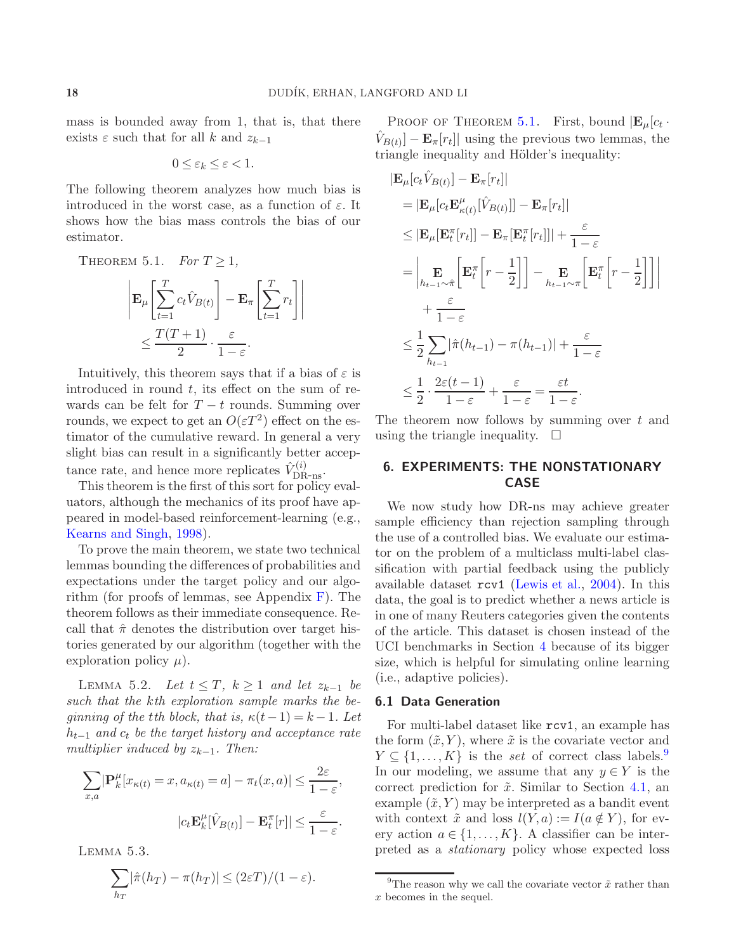mass is bounded away from 1, that is, that there exists  $\varepsilon$  such that for all k and  $z_{k-1}$ 

$$
0 \le \varepsilon_k \le \varepsilon < 1.
$$

The following theorem analyzes how much bias is introduced in the worst case, as a function of  $\varepsilon$ . It shows how the bias mass controls the bias of our estimator.

THEOREM 5.1. For  $T \geq 1$ ,

<span id="page-17-1"></span>
$$
\left| \mathbf{E}_{\mu} \left[ \sum_{t=1}^{T} c_{t} \hat{V}_{B(t)} \right] - \mathbf{E}_{\pi} \left[ \sum_{t=1}^{T} r_{t} \right] \right|
$$
  

$$
\leq \frac{T(T+1)}{2} \cdot \frac{\varepsilon}{1-\varepsilon}.
$$

Intuitively, this theorem says that if a bias of  $\varepsilon$  is introduced in round  $t$ , its effect on the sum of rewards can be felt for  $T - t$  rounds. Summing over rounds, we expect to get an  $O(\varepsilon T^2)$  effect on the estimator of the cumulative reward. In general a very slight bias can result in a significantly better acceptance rate, and hence more replicates  $\hat{V}_{\text{DR-ns}}^{(i)}$ .

This theorem is the first of this sort for policy evaluators, although the mechanics of its proof have appeared in model-based reinforcement-learning (e.g., [Kearns and Singh](#page-26-22), [1998](#page-26-22)).

To prove the main theorem, we state two technical lemmas bounding the differences of probabilities and expectations under the target policy and our algorithm (for proofs of lemmas, see Appendix  $\overline{F}$ ). The theorem follows as their immediate consequence. Recall that  $\hat{\pi}$  denotes the distribution over target histories generated by our algorithm (together with the exploration policy  $\mu$ ).

<span id="page-17-4"></span>LEMMA 5.2. Let  $t \leq T$ ,  $k \geq 1$  and let  $z_{k-1}$  be such that the kth exploration sample marks the beginning of the tth block, that is,  $\kappa(t-1) = k-1$ . Let  $h_{t-1}$  and  $c_t$  be the target history and acceptance rate multiplier induced by  $z_{k-1}$ . Then:

$$
\sum_{x,a} |\mathbf{P}_k^{\mu}[x_{\kappa(t)} = x, a_{\kappa(t)} = a] - \pi_t(x, a)| \le \frac{2\varepsilon}{1 - \varepsilon},
$$

$$
|c_t \mathbf{E}_k^{\mu}[\hat{V}_{B(t)}] - \mathbf{E}_t^{\pi}[r]| \le \frac{\varepsilon}{1 - \varepsilon}.
$$

<span id="page-17-5"></span>Lemma 5.3.

$$
\sum_{h_T} |\hat{\pi}(h_T) - \pi(h_T)| \le (2\varepsilon T)/(1 - \varepsilon).
$$

PROOF OF THEOREM [5.1.](#page-17-1) First, bound  $|\mathbf{E}_{\mu}[c_t \cdot$  $\hat{V}_{B(t)}$  –  $\mathbf{E}_{\pi}[r_t]$  using the previous two lemmas, the triangle inequality and Hölder's inequality:

$$
\begin{split}\n|\mathbf{E}_{\mu}[c_{t}\hat{V}_{B(t)}] - \mathbf{E}_{\pi}[r_{t}]| \\
&= |\mathbf{E}_{\mu}[c_{t}\mathbf{E}_{\kappa(t)}^{\mu}[\hat{V}_{B(t)}]] - \mathbf{E}_{\pi}[r_{t}]| \\
&\leq |\mathbf{E}_{\mu}[\mathbf{E}_{t}^{\pi}[r_{t}]] - \mathbf{E}_{\pi}[\mathbf{E}_{t}^{\pi}[r_{t}]]| + \frac{\varepsilon}{1-\varepsilon} \\
&= \left| \mathbf{E}_{h_{t-1}\sim\hat{\pi}}\left[\mathbf{E}_{t}^{\pi}\left[r - \frac{1}{2}\right]\right] - \mathbf{E}_{h_{t-1}\sim\pi}\left[\mathbf{E}_{t}^{\pi}\left[r - \frac{1}{2}\right]\right]\right| \\
&\quad + \frac{\varepsilon}{1-\varepsilon} \\
&\leq \frac{1}{2} \sum_{h_{t-1}} |\hat{\pi}(h_{t-1}) - \pi(h_{t-1})| + \frac{\varepsilon}{1-\varepsilon} \\
&\leq \frac{1}{2} \cdot \frac{2\varepsilon(t-1)}{1-\varepsilon} + \frac{\varepsilon}{1-\varepsilon} = \frac{\varepsilon t}{1-\varepsilon}.\n\end{split}
$$

The theorem now follows by summing over t and using the triangle inequality.  $\square$ 

# <span id="page-17-0"></span>6. EXPERIMENTS: THE NONSTATIONARY CASE

We now study how DR-ns may achieve greater sample efficiency than rejection sampling through the use of a controlled bias. We evaluate our estimator on the problem of a multiclass multi-label classification with partial feedback using the publicly available dataset rcv1 [\(Lewis et al.](#page-26-23), [2004](#page-26-23)). In this data, the goal is to predict whether a news article is in one of many Reuters categories given the contents of the article. This dataset is chosen instead of the UCI benchmarks in Section [4](#page-8-0) because of its bigger size, which is helpful for simulating online learning (i.e., adaptive policies).

## <span id="page-17-3"></span>6.1 Data Generation

For multi-label dataset like rcv1, an example has the form  $(\tilde{x}, Y)$ , where  $\tilde{x}$  is the covariate vector and  $Y \subseteq \{1, \ldots, K\}$  is the set of correct class labels.<sup>[9](#page-17-2)</sup> In our modeling, we assume that any  $y \in Y$  is the correct prediction for  $\tilde{x}$ . Similar to Section [4.1,](#page-8-1) an example  $(\tilde{x}, Y)$  may be interpreted as a bandit event with context  $\tilde{x}$  and loss  $l(Y,a) := I(a \notin Y)$ , for every action  $a \in \{1, \ldots, K\}$ . A classifier can be interpreted as a stationary policy whose expected loss

<span id="page-17-2"></span><sup>&</sup>lt;sup>9</sup>The reason why we call the covariate vector  $\tilde{x}$  rather than x becomes in the sequel.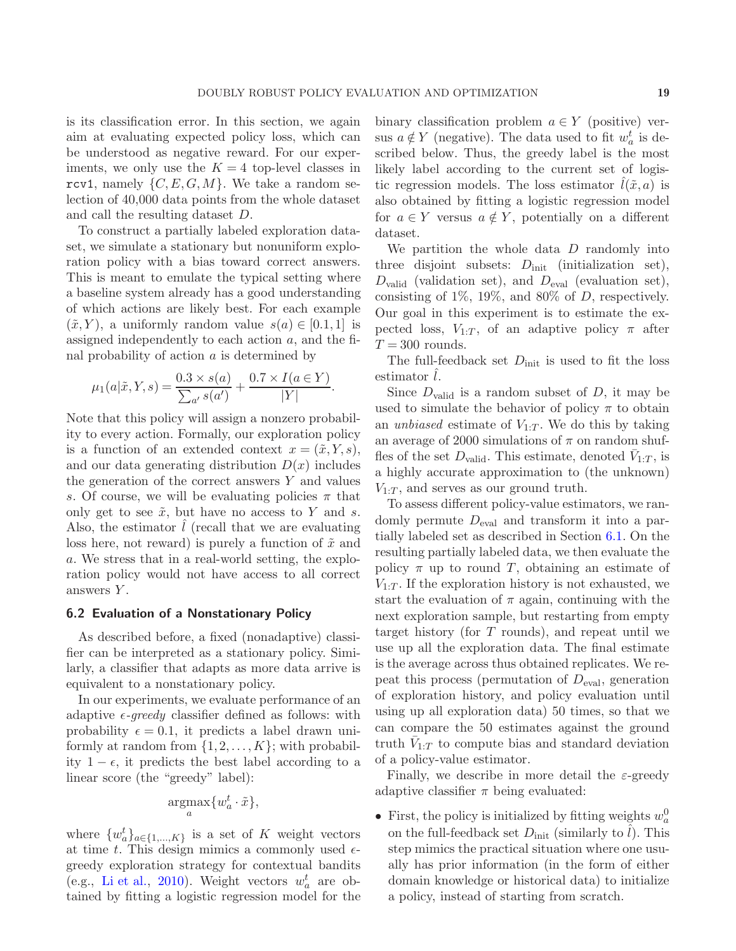is its classification error. In this section, we again aim at evaluating expected policy loss, which can be understood as negative reward. For our experiments, we only use the  $K = 4$  top-level classes in rcv1, namely  $\{C, E, G, M\}$ . We take a random selection of 40,000 data points from the whole dataset and call the resulting dataset D.

To construct a partially labeled exploration dataset, we simulate a stationary but nonuniform exploration policy with a bias toward correct answers. This is meant to emulate the typical setting where a baseline system already has a good understanding of which actions are likely best. For each example  $(\tilde{x}, Y)$ , a uniformly random value  $s(a) \in [0.1, 1]$  is assigned independently to each action a, and the final probability of action  $a$  is determined by

$$
\mu_1(a|\tilde{x}, Y, s) = \frac{0.3 \times s(a)}{\sum_{a'} s(a')} + \frac{0.7 \times I(a \in Y)}{|Y|}.
$$

Note that this policy will assign a nonzero probability to every action. Formally, our exploration policy is a function of an extended context  $x = (\tilde{x}, Y, s)$ , and our data generating distribution  $D(x)$  includes the generation of the correct answers  $Y$  and values s. Of course, we will be evaluating policies  $\pi$  that only get to see  $\tilde{x}$ , but have no access to Y and s. Also, the estimator  $l$  (recall that we are evaluating loss here, not reward) is purely a function of  $\tilde{x}$  and a. We stress that in a real-world setting, the exploration policy would not have access to all correct answers  $Y$ .

## 6.2 Evaluation of a Nonstationary Policy

As described before, a fixed (nonadaptive) classifier can be interpreted as a stationary policy. Similarly, a classifier that adapts as more data arrive is equivalent to a nonstationary policy.

In our experiments, we evaluate performance of an adaptive  $\epsilon$ -greedy classifier defined as follows: with probability  $\epsilon = 0.1$ , it predicts a label drawn uniformly at random from  $\{1, 2, \ldots, K\}$ ; with probability 1 −  $\epsilon$ , it predicts the best label according to a linear score (the "greedy" label):

$$
\underset{a}{\operatorname{argmax}} \{ w_a^t \cdot \tilde{x} \},
$$

where  $\{w_a^t\}_{a\in\{1,\ldots,K\}}$  is a set of K weight vectors at time t. This design mimics a commonly used  $\epsilon$ greedy exploration strategy for contextual bandits (e.g., [Li et al.](#page-26-6), [2010](#page-26-6)). Weight vectors  $w_a^t$  are obtained by fitting a logistic regression model for the binary classification problem  $a \in Y$  (positive) versus  $a \notin Y$  (negative). The data used to fit  $w_a^t$  is described below. Thus, the greedy label is the most likely label according to the current set of logistic regression models. The loss estimator  $l(\tilde{x}, a)$  is also obtained by fitting a logistic regression model for  $a \in Y$  versus  $a \notin Y$ , potentially on a different dataset.

We partition the whole data  $D$  randomly into three disjoint subsets:  $D_{init}$  (initialization set),  $D_{\text{valid}}$  (validation set), and  $D_{\text{eval}}$  (evaluation set), consisting of  $1\%$ ,  $19\%$ , and  $80\%$  of D, respectively. Our goal in this experiment is to estimate the expected loss,  $V_{1:T}$ , of an adaptive policy  $\pi$  after  $T = 300$  rounds.

The full-feedback set  $D_{init}$  is used to fit the loss estimator  $l$ .

Since  $D_{\text{valid}}$  is a random subset of  $D$ , it may be used to simulate the behavior of policy  $\pi$  to obtain an unbiased estimate of  $V_{1:T}$ . We do this by taking an average of 2000 simulations of  $\pi$  on random shuffles of the set  $D_{\text{valid}}$ . This estimate, denoted  $\bar{V}_{1:T}$ , is a highly accurate approximation to (the unknown)  $V_{1:T}$ , and serves as our ground truth.

To assess different policy-value estimators, we randomly permute  $D_{\text{eval}}$  and transform it into a partially labeled set as described in Section [6.1.](#page-17-3) On the resulting partially labeled data, we then evaluate the policy  $\pi$  up to round T, obtaining an estimate of  $V_{1:T}$ . If the exploration history is not exhausted, we start the evaluation of  $\pi$  again, continuing with the next exploration sample, but restarting from empty target history (for T rounds), and repeat until we use up all the exploration data. The final estimate is the average across thus obtained replicates. We repeat this process (permutation of  $D_{eval}$ , generation of exploration history, and policy evaluation until using up all exploration data) 50 times, so that we can compare the 50 estimates against the ground truth  $\bar{V}_{1:T}$  to compute bias and standard deviation of a policy-value estimator.

Finally, we describe in more detail the  $\varepsilon$ -greedy adaptive classifier  $\pi$  being evaluated:

• First, the policy is initialized by fitting weights  $w_a^0$ on the full-feedback set  $D<sub>init</sub>$  (similarly to l). This step mimics the practical situation where one usually has prior information (in the form of either domain knowledge or historical data) to initialize a policy, instead of starting from scratch.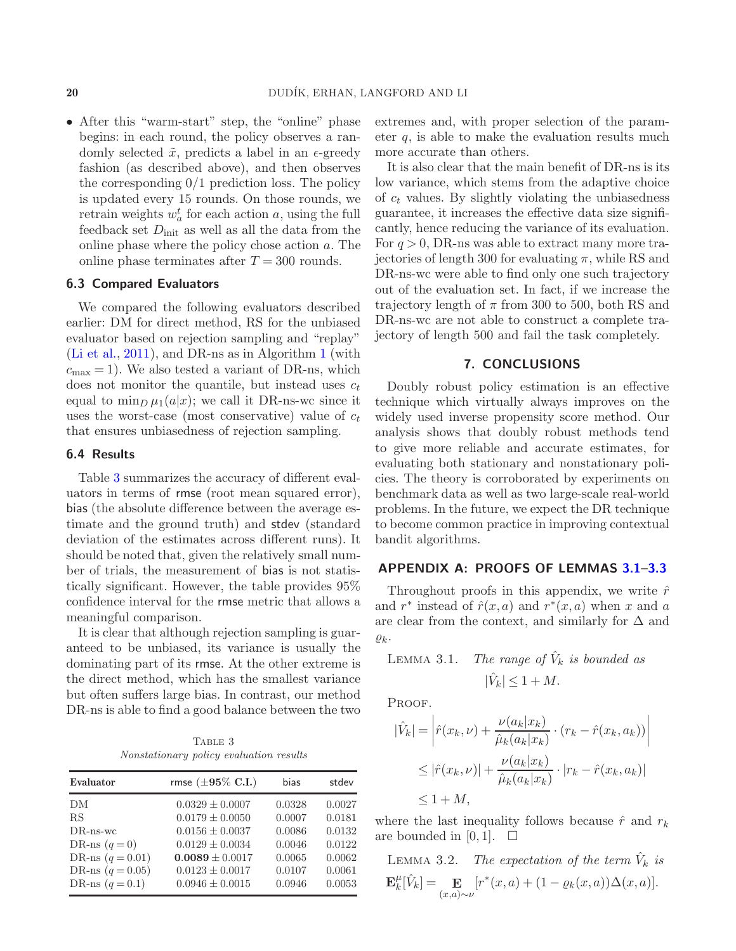• After this "warm-start" step, the "online" phase begins: in each round, the policy observes a randomly selected  $\tilde{x}$ , predicts a label in an  $\epsilon$ -greedy fashion (as described above), and then observes the corresponding  $0/1$  prediction loss. The policy is updated every 15 rounds. On those rounds, we retrain weights  $w_a^t$  for each action a, using the full feedback set  $D_{init}$  as well as all the data from the online phase where the policy chose action a. The online phase terminates after  $T = 300$  rounds.

## 6.3 Compared Evaluators

We compared the following evaluators described earlier: DM for direct method, RS for the unbiased evaluator based on rejection sampling and "replay" [\(Li et al.](#page-26-13), [2011\)](#page-26-13), and DR-ns as in Algorithm [1](#page-15-0) (with  $c_{\text{max}} = 1$ ). We also tested a variant of DR-ns, which does not monitor the quantile, but instead uses  $c_t$ equal to  $\min_D \mu_1(a|x)$ ; we call it DR-ns-wc since it uses the worst-case (most conservative) value of  $c_t$ that ensures unbiasedness of rejection sampling.

## 6.4 Results

Table [3](#page-19-1) summarizes the accuracy of different evaluators in terms of rmse (root mean squared error), bias (the absolute difference between the average estimate and the ground truth) and stdev (standard deviation of the estimates across different runs). It should be noted that, given the relatively small number of trials, the measurement of bias is not statistically significant. However, the table provides 95% confidence interval for the rmse metric that allows a meaningful comparison.

It is clear that although rejection sampling is guaranteed to be unbiased, its variance is usually the dominating part of its rmse. At the other extreme is the direct method, which has the smallest variance but often suffers large bias. In contrast, our method DR-ns is able to find a good balance between the two

TABLE 3 Nonstationary policy evaluation results

<span id="page-19-1"></span>

| Evaluator          | rmse $(\pm 95\% \text{ C.I.})$ | bias   | stdev  |  |
|--------------------|--------------------------------|--------|--------|--|
| DM                 | $0.0329 \pm 0.0007$            | 0.0328 | 0.0027 |  |
| <b>RS</b>          | $0.0179 \pm 0.0050$            | 0.0007 | 0.0181 |  |
| $DR$ -ns-wc        | $0.0156 \pm 0.0037$            | 0.0086 | 0.0132 |  |
| DR-ns $(q=0)$      | $0.0129 \pm 0.0034$            | 0.0046 | 0.0122 |  |
| DR-ns $(q = 0.01)$ | $0.0089 \pm 0.0017$            | 0.0065 | 0.0062 |  |
| DR-ns $(q = 0.05)$ | $0.0123 \pm 0.0017$            | 0.0107 | 0.0061 |  |
| DR-ns $(q = 0.1)$  | $0.0946 \pm 0.0015$            | 0.0946 | 0.0053 |  |
|                    |                                |        |        |  |

extremes and, with proper selection of the parameter  $q$ , is able to make the evaluation results much more accurate than others.

It is also clear that the main benefit of DR-ns is its low variance, which stems from the adaptive choice of  $c_t$  values. By slightly violating the unbiasedness guarantee, it increases the effective data size significantly, hence reducing the variance of its evaluation. For  $q > 0$ , DR-ns was able to extract many more trajectories of length 300 for evaluating  $\pi$ , while RS and DR-ns-wc were able to find only one such trajectory out of the evaluation set. In fact, if we increase the trajectory length of  $\pi$  from 300 to 500, both RS and DR-ns-wc are not able to construct a complete trajectory of length 500 and fail the task completely.

## 7. CONCLUSIONS

Doubly robust policy estimation is an effective technique which virtually always improves on the widely used inverse propensity score method. Our analysis shows that doubly robust methods tend to give more reliable and accurate estimates, for evaluating both stationary and nonstationary policies. The theory is corroborated by experiments on benchmark data as well as two large-scale real-world problems. In the future, we expect the DR technique to become common practice in improving contextual bandit algorithms.

# <span id="page-19-0"></span>APPENDIX A: PROOFS OF LEMMAS [3.1](#page-5-3)[–3.3](#page-5-1)

Throughout proofs in this appendix, we write  $\hat{r}$ and  $r^*$  instead of  $\hat{r}(x, a)$  and  $r^*(x, a)$  when x and a are clear from the context, and similarly for  $\Delta$  and  $\varrho_k$ .

LEMMA 3.1. The range of  $\hat{V}_k$  is bounded as

$$
|\hat{V}_k| \le 1 + M.
$$

PROOF.

$$
|\hat{V}_k| = \left| \hat{r}(x_k, \nu) + \frac{\nu(a_k|x_k)}{\hat{\mu}_k(a_k|x_k)} \cdot (r_k - \hat{r}(x_k, a_k)) \right|
$$
  

$$
\leq |\hat{r}(x_k, \nu)| + \frac{\nu(a_k|x_k)}{\hat{\mu}_k(a_k|x_k)} \cdot |r_k - \hat{r}(x_k, a_k)|
$$
  

$$
\leq 1 + M,
$$

where the last inequality follows because  $\hat{r}$  and  $r_k$ are bounded in [0, 1].  $\square$ 

LEMMA 3.2. The expectation of the term  $\hat{V}_k$  is  $\mathbf{E}^{\mu}_{\mu}$  ${\mu \atop k}[\hat{V}_{k}] = \mathop{\mathbf{E}}_{(x,a) \sim \nu}$  $[r^*(x, a) + (1 - \varrho_k(x, a))\Delta(x, a)].$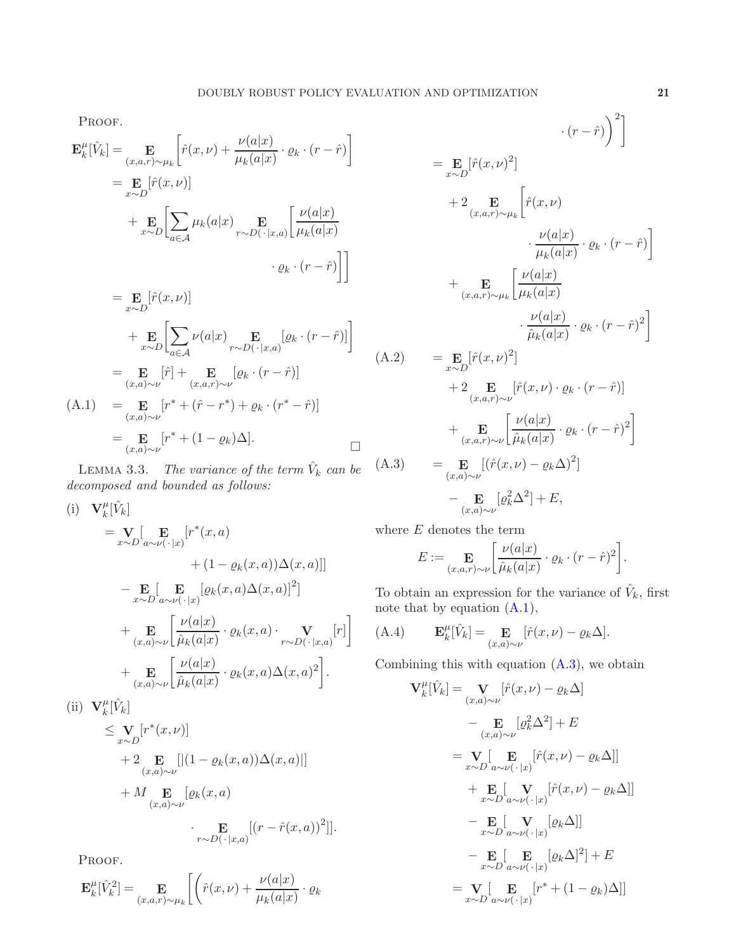PROOF.

$$
\mathbf{E}_{k}^{\mu}[\hat{V}_{k}] = \mathbf{E}_{(x,a,r)\sim\mu_{k}}\left[\hat{r}(x,\nu) + \frac{\nu(a|x)}{\mu_{k}(a|x)} \cdot \varrho_{k} \cdot (r - \hat{r})\right]
$$
\n
$$
= \mathbf{E}_{x\sim D}[\hat{r}(x,\nu)]
$$
\n
$$
+ \mathbf{E}_{x\sim D}\left[\sum_{a\in A} \mu_{k}(a|x) \mathbf{E}_{r\sim D(\cdot|x,a)}\left[\frac{\nu(a|x)}{\mu_{k}(a|x)}\right.\right.
$$
\n
$$
\cdot \varrho_{k} \cdot (r - \hat{r})\right]
$$
\n
$$
= \mathbf{E}_{x\sim D}[\hat{r}(x,\nu)]
$$
\n
$$
+ \mathbf{E}_{x\sim D}\left[\sum_{a\in A} \nu(a|x) \mathbf{E}_{r\sim D(\cdot|x,a)}[ \varrho_{k} \cdot (r - \hat{r})]\right]
$$
\n
$$
= \mathbf{E}_{(x,a)\sim\nu}[\hat{r}] + \mathbf{E}_{(x,a,r)\sim\nu}[\varrho_{k} \cdot (r - \hat{r})]
$$
\n(A.1) =  $\mathbf{E}_{(x,a)\sim\nu}[\hat{r} + (\hat{r} - r^{*}) + \varrho_{k} \cdot (r^{*} - \hat{r})]$   
\n
$$
= \mathbf{E}_{(x,a)\sim\nu}[\hat{r} + (1 - \varrho_{k})\Delta].
$$

LEMMA 3.3. The variance of the term  $\hat{V}_k$  can be decomposed and bounded as follows:

<span id="page-20-0"></span>(i) 
$$
\mathbf{V}_{k}^{\mu}[\hat{V}_{k}] = \mathbf{V}_{x \sim D}[\mathbf{E}_{a \sim \nu(\cdot | x)}[r^{*}(x, a) + (1 - \varrho_{k}(x, a))\Delta(x, a)]] - \mathbf{E}_{x \sim D}[\mathbf{E}_{a \sim \nu(\cdot | x)}[\varrho_{k}(x, a)\Delta(x, a)]^{2}] + \mathbf{E}_{(x, a) \sim \nu}[\frac{\nu(a|x)}{\hat{\mu}_{k}(a|x)} \cdot \varrho_{k}(x, a) \cdot \mathbf{V}_{\sim D(\cdot | x, a)}[r]] + \mathbf{E}_{(x, a) \sim \nu}[\frac{\nu(a|x)}{\hat{\mu}_{k}(a|x)} \cdot \varrho_{k}(x, a)\Delta(x, a)^{2}].
$$
\n(ii) 
$$
\mathbf{V}_{k}^{\mu}[\hat{V}_{k}] = \mathbf{V}_{x}[\mathbf{v}_{k}^{*}(x, a)]
$$

$$
\leq \mathbf{V}_{x \sim D} [r^*(x, \nu)]
$$
  
+2 
$$
\mathbf{E}_{(x, a) \sim \nu} [|(1 - \varrho_k(x, a))\Delta(x, a)|]
$$
  
+M 
$$
\mathbf{E}_{(x, a) \sim \nu} [\varrho_k(x, a)
$$

$$
\cdot \mathbf{E}_{r \sim D(\cdot | x, a)} [(r - \hat{r}(x, a))^2]].
$$

PROOF.

<span id="page-20-1"></span>
$$
\mathbf{E}_{k}^{\mu}[\hat{V}_{k}^{2}] = \mathop{\mathbf{E}}_{(x,a,r)\sim\mu_{k}} \left[ \left( \hat{r}(x,\nu) + \frac{\nu(a|x)}{\mu_{k}(a|x)} \cdot \varrho_{k} \right) \right]
$$

$$
\begin{aligned}\n &\cdot (r - \hat{r}) \bigg)^2 \\
&= \mathbf{E} \left[ \hat{r}(x, \nu)^2 \right] \\
&+ 2 \mathbf{E} \left[ \hat{r}(x, \nu) \right. \\
&\cdot \left. \frac{\nu(a|x)}{\mu_k(a|x)} \cdot \varrho_k \cdot (r - \hat{r}) \right] \\
&+ \mathbf{E} \left[ \frac{\nu(a|x)}{\mu_k(a|x)} \cdot \varrho_k \cdot (r - \hat{r}) \right] \\
&+ \mathbf{E} \left[ \frac{\nu(a|x)}{\mu_k(a|x)} \right. \\
&\cdot \left. \frac{\nu(a|x)}{\hat{\mu}_k(a|x)} \cdot \varrho_k \cdot (r - \hat{r})^2 \right] \\
&+ 2 \mathbf{E} \left[ \hat{r}(x, \nu)^2 \right] \\
&+ 2 \mathbf{E} \left[ \hat{r}(x, \nu) \cdot \varrho_k \cdot (r - \hat{r}) \right] \\
&+ \mathbf{E} \left[ \frac{\nu(a|x)}{\hat{\mu}_k(a|x)} \cdot \varrho_k \cdot (r - \hat{r})^2 \right] \\
&+ \mathbf{E} \left[ \frac{\nu(a|x)}{\hat{\mu}_k(a|x)} \cdot \varrho_k \cdot (r - \hat{r})^2 \right] \\
&- \mathbf{E} \left[ \left( \hat{r}(x, \nu) - \varrho_k \Delta \right)^2 \right] \\
&- \mathbf{E} \left[ \varrho_k^2 \Delta^2 \right] + E,\n\end{aligned}
$$
\n(A.3)

where  ${\cal E}$  denotes the term

$$
E := \mathop{\mathbf{E}}_{(x,a,r)\sim \nu} \left[ \frac{\nu(a|x)}{\hat{\mu}_k(a|x)} \cdot \varrho_k \cdot (r - \hat{r})^2 \right].
$$

To obtain an expression for the variance of  $\hat{V}_k$ , first note that by equation [\(A.1\)](#page-20-0),

<span id="page-20-2"></span>(A.4) 
$$
\mathbf{E}_k^{\mu}[\hat{V}_k] = \mathop{\mathbf{E}}_{(x,a)\sim\nu}[\hat{r}(x,\nu) - \varrho_k\Delta].
$$

Combining this with equation  $(A.3)$ , we obtain

$$
\mathbf{V}_{k}^{\mu}[\hat{V}_{k}] = \mathbf{V}_{(x,a)\sim\nu}[\hat{r}(x,\nu) - \varrho_{k}\Delta]
$$
  
\n
$$
-\mathbf{E}_{(x,a)\sim\nu}[\varrho_{k}^{2}\Delta^{2}] + E
$$
  
\n
$$
= \mathbf{V}_{x\sim D}[\mathbf{E}_{a\sim\nu(\cdot|x)}[\hat{r}(x,\nu) - \varrho_{k}\Delta]]
$$
  
\n
$$
+ \mathbf{E}_{a\sim\nu}[\mathbf{V}_{a\sim\nu(\cdot|x)}[\hat{r}(x,\nu) - \varrho_{k}\Delta]]
$$
  
\n
$$
- \mathbf{E}_{x\sim D}[\mathbf{V}_{a\sim\nu(\cdot|x)}[\varrho_{k}\Delta]]
$$
  
\n
$$
- \mathbf{E}_{x\sim D}[\mathbf{E}_{a\sim\nu(\cdot|x)}[\varrho_{k}\Delta]^{2}] + E
$$
  
\n
$$
= \mathbf{V}_{a\sim\nu}[\mathbf{E}_{a\sim\nu(\cdot|x)}[r^{*} + (1 - \varrho_{k})\Delta]]
$$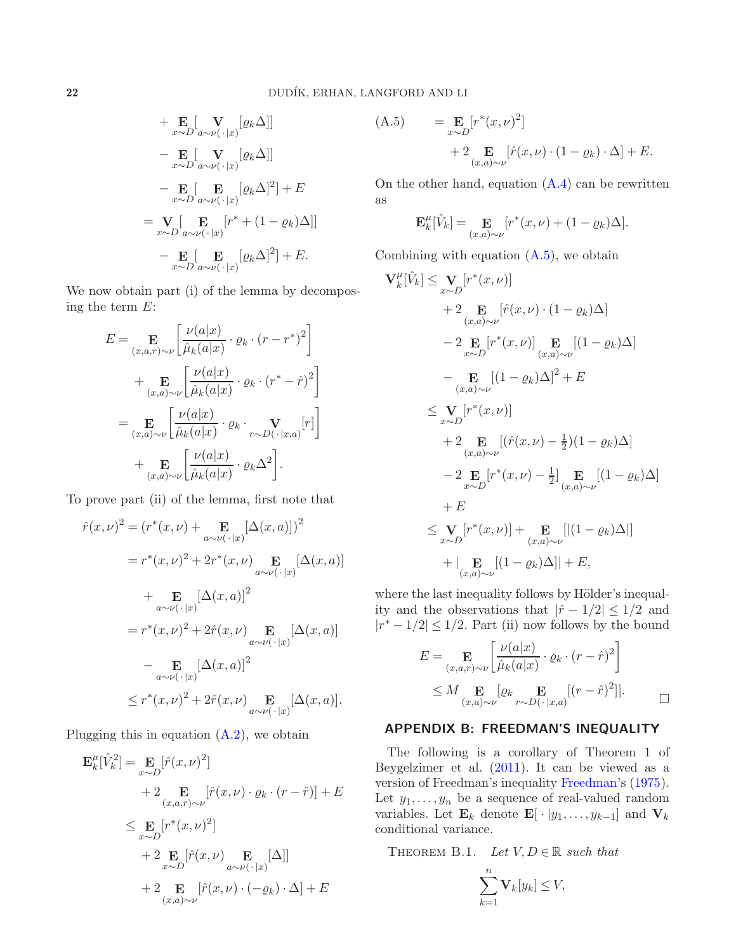+ 
$$
\mathbf{E} \left[ \mathbf{V} \left[ \varrho_k \Delta \right] \right]
$$
  
\n-  $\mathbf{E} \left[ \mathbf{V} \left[ \varrho_k \Delta \right] \right]$   
\n-  $\mathbf{E} \left[ \mathbf{V} \left[ \varrho_k \Delta \right] \right]$   
\n-  $\mathbf{E} \left[ \mathbf{E} \left[ \varrho_k \Delta \right] \right]$   
\n-  $\mathbf{E} \left[ \mathbf{E} \left[ \varrho_k \Delta \right]^2 \right] + E$   
\n=  $\mathbf{V} \left[ \mathbf{E} \left[ \mathbf{E} \left[ \varrho_k \Delta \right]^2 \right] + E$   
\n=  $\mathbf{V} \left[ \mathbf{E} \left[ \mathbf{E} \left[ \mathbf{F} \left[ \Delta \right]^2 \right] \right] + E$   
\n-  $\mathbf{E} \left[ \mathbf{E} \left[ \mathbf{E} \left[ \left[ \mathbf{F} \Delta \right]^2 \right] \right] + E$ .

We now obtain part (i) of the lemma by decomposing the term  $E$ :

$$
E = \mathbf{E}_{(x,a,r)\sim\nu} \left[ \frac{\nu(a|x)}{\hat{\mu}_k(a|x)} \cdot \varrho_k \cdot (r - r^*)^2 \right] + \mathbf{E}_{(x,a)\sim\nu} \left[ \frac{\nu(a|x)}{\hat{\mu}_k(a|x)} \cdot \varrho_k \cdot (r^* - \hat{r})^2 \right] = \mathbf{E}_{(x,a)\sim\nu} \left[ \frac{\nu(a|x)}{\hat{\mu}_k(a|x)} \cdot \varrho_k \cdot \mathbf{V}_{r\sim D(\cdot|x,a)}[r] \right] + \mathbf{E}_{(x,a)\sim\nu} \left[ \frac{\nu(a|x)}{\hat{\mu}_k(a|x)} \cdot \varrho_k \Delta^2 \right].
$$

To prove part (ii) of the lemma, first note that

$$
\hat{r}(x,\nu)^2 = (r^*(x,\nu) + \mathbf{E}_{a \sim \nu(\cdot|x)}[\Delta(x,a)])^2
$$
  
\n
$$
= r^*(x,\nu)^2 + 2r^*(x,\nu) \mathbf{E}_{a \sim \nu(\cdot|x)}[\Delta(x,a)]
$$
  
\n
$$
+ \mathbf{E}_{a \sim \nu(\cdot|x)}[\Delta(x,a)]^2
$$
  
\n
$$
= r^*(x,\nu)^2 + 2\hat{r}(x,\nu) \mathbf{E}_{a \sim \nu(\cdot|x)}[\Delta(x,a)]
$$
  
\n
$$
- \mathbf{E}_{a \sim \nu(\cdot|x)}[\Delta(x,a)]^2
$$
  
\n
$$
\leq r^*(x,\nu)^2 + 2\hat{r}(x,\nu) \mathbf{E}_{a \sim \nu(\cdot|x)}[\Delta(x,a)].
$$

Plugging this in equation [\(A.2\)](#page-20-1), we obtain

<span id="page-21-2"></span>
$$
\mathbf{E}_{k}^{\mu}[\hat{V}_{k}^{2}] = \mathop{\mathbf{E}}_{x \sim D}[\hat{r}(x, \nu)^{2}]
$$
  
+2 
$$
\mathop{\mathbf{E}}_{(x, a, r) \sim \nu}[\hat{r}(x, \nu) \cdot \varrho_{k} \cdot (r - \hat{r})] + E
$$
  

$$
\leq \mathop{\mathbf{E}}_{x \sim D} [r^{*}(x, \nu)^{2}]
$$
  
+2 
$$
\mathop{\mathbf{E}}_{x \sim D}[\hat{r}(x, \nu) \mathop{\mathbf{E}}_{a \sim \nu(\cdot | x)}[\Delta]]
$$
  
+2 
$$
\mathop{\mathbf{E}}_{(x, a) \sim \nu}[\hat{r}(x, \nu) \cdot (-\varrho_{k}) \cdot \Delta] + E
$$

(A.5) = 
$$
\mathbf{E}_{x \sim D} [r^*(x, \nu)^2]
$$
  
+2 
$$
\mathbf{E}_{(x, a) \sim \nu} [\hat{r}(x, \nu) \cdot (1 - \varrho_k) \cdot \Delta] + E.
$$

On the other hand, equation  $(A.4)$  can be rewritten as

$$
\mathbf{E}_k^{\mu}[\hat{V}_k] = \mathop{\mathbf{E}}_{(x,a)\sim\nu} [r^*(x,\nu) + (1-\varrho_k)\Delta].
$$

Combining with equation  $(A.5)$ , we obtain

$$
\mathbf{V}_{k}^{\mu}[\hat{V}_{k}] \leq \mathbf{V}_{\alpha}[\mathbf{r}^{*}(x,\nu)]
$$
  
+2  $\mathbf{E}_{(\alpha,a)\sim\nu}[\hat{r}(x,\nu)\cdot(1-\varrho_{k})\Delta]$   
-2  $\mathbf{E}_{\alpha}[\mathbf{r}^{*}(x,\nu)] \mathbf{E}_{(\alpha,a)\sim\nu}[(1-\varrho_{k})\Delta]$   
- $\mathbf{E}_{(\alpha,a)\sim\nu}[(1-\varrho_{k})\Delta]^{2} + E$   
 $\leq \mathbf{V}_{\alpha}[\mathbf{r}^{*}(x,\nu)]$   
+2  $\mathbf{E}_{(\alpha,a)\sim\nu}[(\hat{r}(x,\nu)-\frac{1}{2})(1-\varrho_{k})\Delta]$   
-2  $\mathbf{E}_{\alpha\sim D}[\mathbf{r}^{*}(x,\nu)-\frac{1}{2}] \mathbf{E}_{(\alpha,a)\sim\nu}[(1-\varrho_{k})\Delta]$   
+E  
 $\leq \mathbf{V}_{\alpha\sim D}[\mathbf{r}^{*}(x,\nu)] + \mathbf{E}_{(\alpha,a)\sim\nu}[(1-\varrho_{k})\Delta]]$   
+E  
 $\leq \mathbf{V}_{\alpha\sim D}[\mathbf{r}^{*}(x,\nu)] + \mathbf{E}_{(\alpha,a)\sim\nu}[(1-\varrho_{k})\Delta]]$   
+| $\mathbf{E}_{(\alpha,a)\sim\nu}[(1-\varrho_{k})\Delta]] + E,$ 

where the last inequality follows by Hölder's inequality and the observations that  $|\hat{r} - 1/2| \leq 1/2$  and  $|r^* - 1/2|$  ≤ 1/2. Part (ii) now follows by the bound

$$
E = \mathop{\mathbf{E}}_{(x,a,r)\sim\nu} \left[ \frac{\nu(a|x)}{\hat{\mu}_k(a|x)} \cdot \varrho_k \cdot (r - \hat{r})^2 \right]
$$
  
 
$$
\leq M \mathop{\mathbf{E}}_{(x,a)\sim\nu} \left[ \varrho_k \mathop{\mathbf{E}}_{r\sim D(\cdot|x,a)} [(r - \hat{r})^2] \right].
$$

## <span id="page-21-1"></span>APPENDIX B: FREEDMAN'S INEQUALITY

The following is a corollary of Theorem 1 of Beygelzimer et al. [\(2011](#page-26-24)). It can be viewed as a version of Freedman's inequality [Freedman'](#page-26-25)s [\(1975\)](#page-26-25). Let  $y_1, \ldots, y_n$  be a sequence of real-valued random variables. Let  $\mathbf{E}_k$  denote  $\mathbf{E}[\cdot | y_1, \ldots, y_{k-1}]$  and  $\mathbf{V}_k$ conditional variance.

THEOREM B.1. Let  $V, D \in \mathbb{R}$  such that

<span id="page-21-0"></span>
$$
\sum_{k=1}^{n} \mathbf{V}_{k}[y_{k}] \leq V,
$$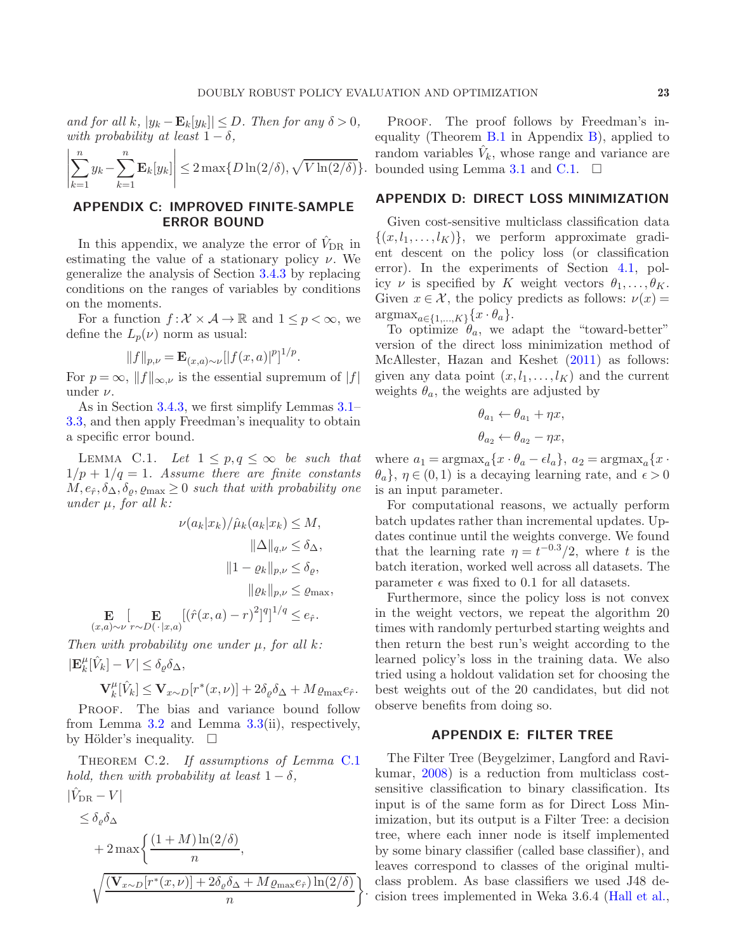and for all k,  $|y_k - \mathbf{E}_k[y_k]| \leq D$ . Then for any  $\delta > 0$ , with probability at least  $1 - \delta$ ,

$$
\left|\sum_{k=1}^n y_k - \sum_{k=1}^n \mathbf{E}_k[y_k]\right| \le 2 \max\{D\ln(2/\delta), \sqrt{V\ln(2/\delta)}\}.
$$

# <span id="page-22-0"></span>APPENDIX C: IMPROVED FINITE-SAMPLE ERROR BOUND

In this appendix, we analyze the error of  $V_{\text{DR}}$  in estimating the value of a stationary policy  $\nu$ . We generalize the analysis of Section [3.4.3](#page-7-4) by replacing conditions on the ranges of variables by conditions on the moments.

For a function  $f: \mathcal{X} \times \mathcal{A} \to \mathbb{R}$  and  $1 \leq p < \infty$ , we define the  $L_p(\nu)$  norm as usual:

$$
||f||_{p,\nu} = \mathbf{E}_{(x,a)\sim \nu} [|f(x,a)|^p]^{1/p}.
$$

For  $p = \infty$ ,  $||f||_{\infty,\nu}$  is the essential supremum of  $|f|$ under  $\nu$ .

As in Section [3.4.3,](#page-7-4) we first simplify Lemmas [3.1–](#page-5-3) [3.3,](#page-5-1) and then apply Freedman's inequality to obtain a specific error bound.

LEMMA C.1. Let  $1 \leq p, q \leq \infty$  be such that  $1/p + 1/q = 1$ . Assume there are finite constants  $M, e_{\hat{r}}, \delta_{\Delta}, \delta_{\varrho}, \varrho_{\text{max}} \geq 0$  such that with probability one under  $\mu$ , for all  $k$ :

<span id="page-22-3"></span>
$$
\nu(a_k|x_k)/\hat{\mu}_k(a_k|x_k) \leq M,
$$
  

$$
\|\Delta\|_{q,\nu} \leq \delta_{\Delta},
$$
  

$$
\|1 - \varrho_k\|_{p,\nu} \leq \delta_{\varrho},
$$
  

$$
\|\varrho_k\|_{p,\nu} \leq \varrho_{\text{max}},
$$

E (x,a)∼ν  $\begin{bmatrix} & & \mathbf{E} \end{bmatrix}$  $\mathbb{E}_{r \sim D(\cdot | x, a)} [(\hat{r}(x, a) - r)^2]^{q}]^{1/q} \leq e_{\hat{r}}.$ 

Then with probability one under  $\mu$ , for all k:  $|{\bf E}_k^\mu$  $_{k}^{\mu}[\hat{V}_{k}] - V \leq \delta_{\varrho} \delta_{\Delta},$ 

 ${\bf V}^\mu_i$  $\mathcal{L}_k^{\mu}[\hat{V}_k] \leq \mathbf{V}_{x \sim D}[r^*(x,\nu)] + 2\delta_{\varrho}\delta_{\Delta} + M\varrho_{\max}e_{\hat{r}}.$ PROOF. The bias and variance bound follow from Lemma [3.2](#page-5-2) and Lemma  $3.3$ (ii), respectively, by Hölder's inequality.  $\square$ 

THEOREM C.2. If assumptions of Lemma [C.1](#page-22-3) hold, then with probability at least  $1 - \delta$ ,<br> $|\hat{V}| = |V|$  $|\hat{V}_n$ 

$$
V_{\text{DR}} - V |
$$
  
\n
$$
\leq \delta_{\varrho} \delta_{\Delta}
$$
  
\n
$$
+ 2 \max \left\{ \frac{(1+M) \ln(2/\delta)}{n}, \frac{\sqrt{(V_{x \sim D} [r^*(x,\nu)] + 2 \delta_{\varrho} \delta_{\Delta} + M \varrho_{\max} e_{\hat{r}}) \ln(2/\delta)}}{n} \right\}
$$

PROOF. The proof follows by Freedman's inequality (Theorem [B.1](#page-21-0) in Appendix [B\)](#page-21-1), applied to random variables  $\hat{V}_k$ , whose range and variance are bounded using Lemma [3.1](#page-5-3) and [C.1.](#page-22-3)  $\Box$ 

# <span id="page-22-1"></span>APPENDIX D: DIRECT LOSS MINIMIZATION

Given cost-sensitive multiclass classification data  $\{(x, l_1, \ldots, l_K)\}\$ , we perform approximate gradient descent on the policy loss (or classification error). In the experiments of Section [4.1,](#page-8-1) policy  $\nu$  is specified by K weight vectors  $\theta_1, \ldots, \theta_K$ . Given  $x \in \mathcal{X}$ , the policy predicts as follows:  $\nu(x) =$  $\arg\max_{a\in\{1,\ldots,K\}}\{x\cdot\theta_a\}.$ 

To optimize  $\theta_a$ , we adapt the "toward-better" version of the direct loss minimization method of McAllester, Hazan and Keshet  $(2011)$  as follows: given any data point  $(x, l_1, \ldots, l_K)$  and the current weights  $\theta_a$ , the weights are adjusted by

$$
\theta_{a_1} \leftarrow \theta_{a_1} + \eta x,
$$
  

$$
\theta_{a_2} \leftarrow \theta_{a_2} - \eta x,
$$

where  $a_1 = \text{argmax}_a \{x \cdot \theta_a - \epsilon l_a\}, a_2 = \text{argmax}_a \{x \cdot$  $\{\theta_a\}, \eta \in (0,1)$  is a decaying learning rate, and  $\epsilon > 0$ is an input parameter.

For computational reasons, we actually perform batch updates rather than incremental updates. Updates continue until the weights converge. We found that the learning rate  $\eta = t^{-0.3}/2$ , where t is the batch iteration, worked well across all datasets. The parameter  $\epsilon$  was fixed to 0.1 for all datasets.

Furthermore, since the policy loss is not convex in the weight vectors, we repeat the algorithm 20 times with randomly perturbed starting weights and then return the best run's weight according to the learned policy's loss in the training data. We also tried using a holdout validation set for choosing the best weights out of the 20 candidates, but did not observe benefits from doing so.

#### APPENDIX E: FILTER TREE

<span id="page-22-2"></span>. cision trees implemented in Weka 3.6.4 [\(Hall et al.](#page-26-26),The Filter Tree (Beygelzimer, Langford and Ravikumar, [2008](#page-26-20)) is a reduction from multiclass costsensitive classification to binary classification. Its input is of the same form as for Direct Loss Minimization, but its output is a Filter Tree: a decision tree, where each inner node is itself implemented by some binary classifier (called base classifier), and leaves correspond to classes of the original multiclass problem. As base classifiers we used J48 de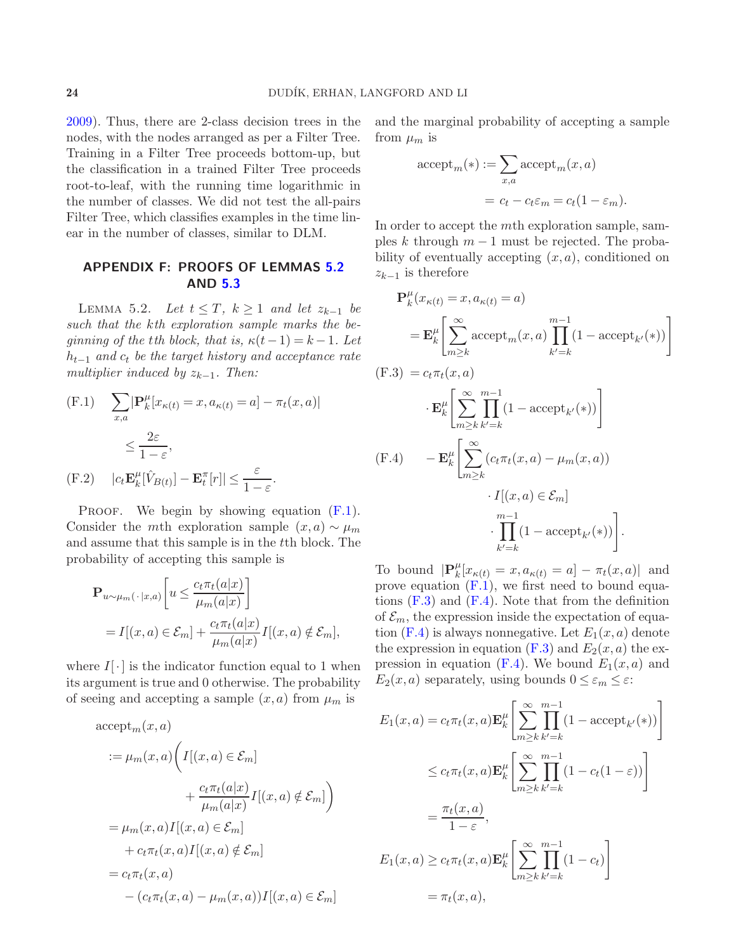[2009\)](#page-26-26). Thus, there are 2-class decision trees in the nodes, with the nodes arranged as per a Filter Tree. Training in a Filter Tree proceeds bottom-up, but the classification in a trained Filter Tree proceeds root-to-leaf, with the running time logarithmic in the number of classes. We did not test the all-pairs Filter Tree, which classifies examples in the time linear in the number of classes, similar to DLM.

# <span id="page-23-0"></span>APPENDIX F: PROOFS OF LEMMAS [5.2](#page-17-4) AND [5.3](#page-17-5)

LEMMA 5.2. Let  $t \leq T$ ,  $k \geq 1$  and let  $z_{k-1}$  be such that the kth exploration sample marks the beginning of the tth block, that is,  $\kappa(t-1) = k-1$ . Let  $h_{t-1}$  and  $c_t$  be the target history and acceptance rate multiplier induced by  $z_{k-1}$ . Then:

<span id="page-23-1"></span>(F.1) 
$$
\sum_{x,a} |\mathbf{P}_k^{\mu}[x_{\kappa(t)} = x, a_{\kappa(t)} = a] - \pi_t(x, a)|
$$
  
\n
$$
\leq \frac{2\varepsilon}{1 - \varepsilon},
$$
  
\n(F.2) 
$$
|c_t \mathbf{E}_k^{\mu}[\hat{V}_{B(t)}] - \mathbf{E}_t^{\pi}[r]| \leq \frac{\varepsilon}{1 - \varepsilon}.
$$

PROOF. We begin by showing equation  $(F.1)$ . Consider the mth exploration sample  $(x, a) \sim \mu_m$ and assume that this sample is in the tth block. The probability of accepting this sample is

$$
\mathbf{P}_{u \sim \mu_m(\cdot|x,a)} \left[ u \leq \frac{c_t \pi_t(a|x)}{\mu_m(a|x)} \right]
$$
  
=  $I[(x, a) \in \mathcal{E}_m] + \frac{c_t \pi_t(a|x)}{\mu_m(a|x)} I[(x, a) \notin \mathcal{E}_m],$ 

where  $I[\cdot]$  is the indicator function equal to 1 when its argument is true and 0 otherwise. The probability of seeing and accepting a sample  $(x, a)$  from  $\mu_m$  is

accept<sub>m</sub>(x, a)  
\n:= 
$$
\mu_m(x, a) \bigg( I[(x, a) \in \mathcal{E}_m]
$$
  
\n $+ \frac{c_t \pi_t(a|x)}{\mu_m(a|x)} I[(x, a) \notin \mathcal{E}_m] \bigg)$   
\n=  $\mu_m(x, a) I[(x, a) \in \mathcal{E}_m]$   
\n $+ c_t \pi_t(x, a) I[(x, a) \notin \mathcal{E}_m]$   
\n=  $c_t \pi_t(x, a)$   
\n $- (c_t \pi_t(x, a) - \mu_m(x, a)) I[(x, a) \in \mathcal{E}_m]$ 

and the marginal probability of accepting a sample from  $\mu_m$  is

accept<sub>m</sub>(\*) := 
$$
\sum_{x,a}
$$
 accept<sub>m</sub>(x, a)  
=  $c_t - c_t \varepsilon_m = c_t (1 - \varepsilon_m)$ .

In order to accept the mth exploration sample, samples k through  $m-1$  must be rejected. The probability of eventually accepting  $(x, a)$ , conditioned on  $z_{k-1}$  is therefore

<span id="page-23-2"></span>
$$
\mathbf{P}_{k}^{\mu}(x_{\kappa(t)} = x, a_{\kappa(t)} = a)
$$
\n
$$
= \mathbf{E}_{k}^{\mu} \left[ \sum_{m \geq k}^{\infty} \operatorname{accept}_{m}(x, a) \prod_{k'=k}^{m-1} (1 - \operatorname{accept}_{k'}(*)) \right]
$$
\n(F.3) =  $c_{t} \pi_{t}(x, a)$   
\n
$$
\cdot \mathbf{E}_{k}^{\mu} \left[ \sum_{m \geq k}^{\infty} \prod_{k'=k}^{m-1} (1 - \operatorname{accept}_{k'}(*)) \right]
$$
\n(F.4) =  $\mathbf{E}_{k}^{\mu} \left[ \sum_{m \geq k}^{\infty} (c_{t} \pi_{t}(x, a) - \mu_{m}(x, a)) \cdot I[(x, a) \in \mathcal{E}_{m}] \cdot I[(x, a) \in \mathcal{E}_{m}] \cdot \prod_{k'=k}^{m-1} (1 - \operatorname{accept}_{k'}(*)) \right].$ 

To bound  $|\mathbf{P}_k^{\mu}|$  $\frac{\mu}{k}[x_{\kappa(t)} = x, a_{\kappa(t)} = a] - \pi_t(x, a)$  and prove equation  $(F.1)$ , we first need to bound equations  $(F.3)$  and  $(F.4)$ . Note that from the definition of  $\mathcal{E}_m$ , the expression inside the expectation of equation  $(F.4)$  is always nonnegative. Let  $E_1(x, a)$  denote the expression in equation [\(F.3\)](#page-23-2) and  $E_2(x, a)$  the ex-pression in equation [\(F.4\)](#page-23-2). We bound  $E_1(x, a)$  and  $E_2(x, a)$  separately, using bounds  $0 \leq \varepsilon_m \leq \varepsilon$ :

$$
E_1(x, a) = c_t \pi_t(x, a) \mathbf{E}_k^{\mu} \left[ \sum_{m \ge k}^{\infty} \prod_{k'=k}^{m-1} (1 - \operatorname{accept}_{k'}(*)) \right]
$$
  
\n
$$
\le c_t \pi_t(x, a) \mathbf{E}_k^{\mu} \left[ \sum_{m \ge k}^{\infty} \prod_{k'=k}^{m-1} (1 - c_t(1 - \varepsilon)) \right]
$$
  
\n
$$
= \frac{\pi_t(x, a)}{1 - \varepsilon},
$$
  
\n
$$
E_1(x, a) \ge c_t \pi_t(x, a) \mathbf{E}_k^{\mu} \left[ \sum_{m \ge k}^{\infty} \prod_{k'=k}^{m-1} (1 - c_t) \right]
$$
  
\n
$$
= \pi_t(x, a),
$$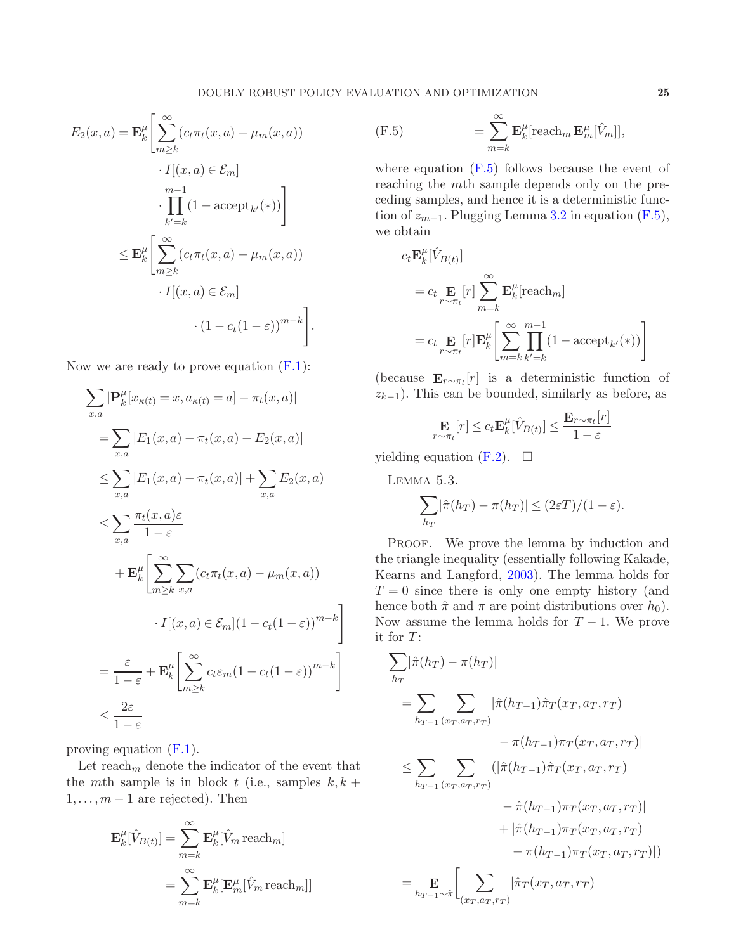$$
E_2(x, a) = \mathbf{E}_k^{\mu} \Bigg[ \sum_{m \ge k}^{\infty} (c_t \pi_t(x, a) - \mu_m(x, a))
$$

$$
\cdot I[(x, a) \in \mathcal{E}_m]
$$

$$
\cdot \prod_{k'=k}^{m-1} (1 - \text{accept}_{k'}(*)) \Bigg]
$$

$$
\le \mathbf{E}_k^{\mu} \Bigg[ \sum_{m \ge k}^{\infty} (c_t \pi_t(x, a) - \mu_m(x, a))
$$

$$
\cdot I[(x, a) \in \mathcal{E}_m]
$$

$$
\cdot (1 - c_t(1 - \varepsilon))^{m-k} \Bigg].
$$

Now we are ready to prove equation [\(F.1\)](#page-23-1):

$$
\sum_{x,a} |\mathbf{P}_k^{\mu}[x_{\kappa(t)} = x, a_{\kappa(t)} = a] - \pi_t(x, a)|
$$
  
\n
$$
= \sum_{x,a} |E_1(x, a) - \pi_t(x, a) - E_2(x, a)|
$$
  
\n
$$
\leq \sum_{x,a} |E_1(x, a) - \pi_t(x, a)| + \sum_{x,a} E_2(x, a)
$$
  
\n
$$
\leq \sum_{x,a} \frac{\pi_t(x, a)\varepsilon}{1 - \varepsilon}
$$
  
\n
$$
+ \mathbf{E}_k^{\mu} \left[ \sum_{m \geq k}^{\infty} \sum_{x,a} (c_t \pi_t(x, a) - \mu_m(x, a)) \right]
$$
  
\n
$$
\cdot I[(x, a) \in \mathcal{E}_m] (1 - c_t(1 - \varepsilon))^{m-k}
$$
  
\n
$$
= \frac{\varepsilon}{1 - \varepsilon} + \mathbf{E}_k^{\mu} \left[ \sum_{m \geq k}^{\infty} c_t \varepsilon_m (1 - c_t(1 - \varepsilon))^{m-k} \right]
$$
  
\n
$$
\leq \frac{2\varepsilon}{1 - \varepsilon}
$$

proving equation [\(F.1\)](#page-23-1).

Let  $reach_m$  denote the indicator of the event that the mth sample is in block t (i.e., samples  $k, k +$  $1, \ldots, m-1$  are rejected). Then

<span id="page-24-0"></span>
$$
\mathbf{E}_{k}^{\mu}[\hat{V}_{B(t)}] = \sum_{m=k}^{\infty} \mathbf{E}_{k}^{\mu}[\hat{V}_{m} \operatorname{reach}_{m}]
$$

$$
= \sum_{m=k}^{\infty} \mathbf{E}_{k}^{\mu}[\mathbf{E}_{m}^{\mu}[\hat{V}_{m} \operatorname{reach}_{m}]]
$$

(F.5) 
$$
= \sum_{m=k}^{\infty} \mathbf{E}_k^{\mu} [\text{reach}_m \, \mathbf{E}_m^{\mu} [\hat{V}_m]],
$$

where equation  $(F.5)$  follows because the event of reaching the mth sample depends only on the preceding samples, and hence it is a deterministic function of  $z_{m-1}$ . Plugging Lemma [3.2](#page-5-2) in equation [\(F.5\)](#page-24-0), we obtain

$$
c_t \mathbf{E}_k^{\mu} [\hat{V}_{B(t)}]
$$
  
=  $c_t \mathbf{E}_{r \sim \pi_t} [r] \sum_{m=k}^{\infty} \mathbf{E}_k^{\mu} [\text{reach}_m]$   
=  $c_t \mathbf{E}_{r \sim \pi_t} [r] \mathbf{E}_k^{\mu} \left[ \sum_{m=k}^{\infty} \prod_{k'=k}^{m-1} (1 - \text{accept}_{k'}(*)) \right]$ 

(because  $\mathbf{E}_{r \sim \pi_t}[r]$  is a deterministic function of  $z_{k-1}$ ). This can be bounded, similarly as before, as

$$
\mathop{\mathbf{E}}_{r \sim \pi_t}[r] \le c_t \mathop{\mathbf{E}}_k^{\mu}[\hat{V}_{B(t)}] \le \frac{\mathop{\mathbf{E}}_{r \sim \pi_t}[r]}{1 - \varepsilon}
$$

yielding equation  $(F.2)$ .  $\Box$ 

Lemma 5.3.

$$
\sum_{h_T} |\hat{\pi}(h_T) - \pi(h_T)| \le (2\varepsilon T)/(1 - \varepsilon).
$$

PROOF. We prove the lemma by induction and the triangle inequality (essentially following Kakade, Kearns and Langford, [2003](#page-26-27)). The lemma holds for  $T = 0$  since there is only one empty history (and hence both  $\hat{\pi}$  and  $\pi$  are point distributions over  $h_0$ ). Now assume the lemma holds for  $T-1$ . We prove it for T:

$$
\sum_{h_T} |\hat{\pi}(h_T) - \pi(h_T)|
$$
\n
$$
= \sum_{h_{T-1}} \sum_{(x_T, a_T, r_T)} |\hat{\pi}(h_{T-1})\hat{\pi}_T(x_T, a_T, r_T)|
$$
\n
$$
- \pi(h_{T-1})\pi_T(x_T, a_T, r_T)|
$$
\n
$$
\leq \sum_{h_{T-1}} \sum_{(x_T, a_T, r_T)} (|\hat{\pi}(h_{T-1})\hat{\pi}_T(x_T, a_T, r_T)| - \hat{\pi}(h_{T-1})\pi_T(x_T, a_T, r_T)| + |\hat{\pi}(h_{T-1})\pi_T(x_T, a_T, r_T)| - \pi(h_{T-1})\pi_T(x_T, a_T, r_T)|)
$$
\n
$$
= \sum_{h_{T-1}\sim\hat{\pi}} \left[ \sum_{(x_T, a_T, r_T)} |\hat{\pi}_T(x_T, a_T, r_T)|
$$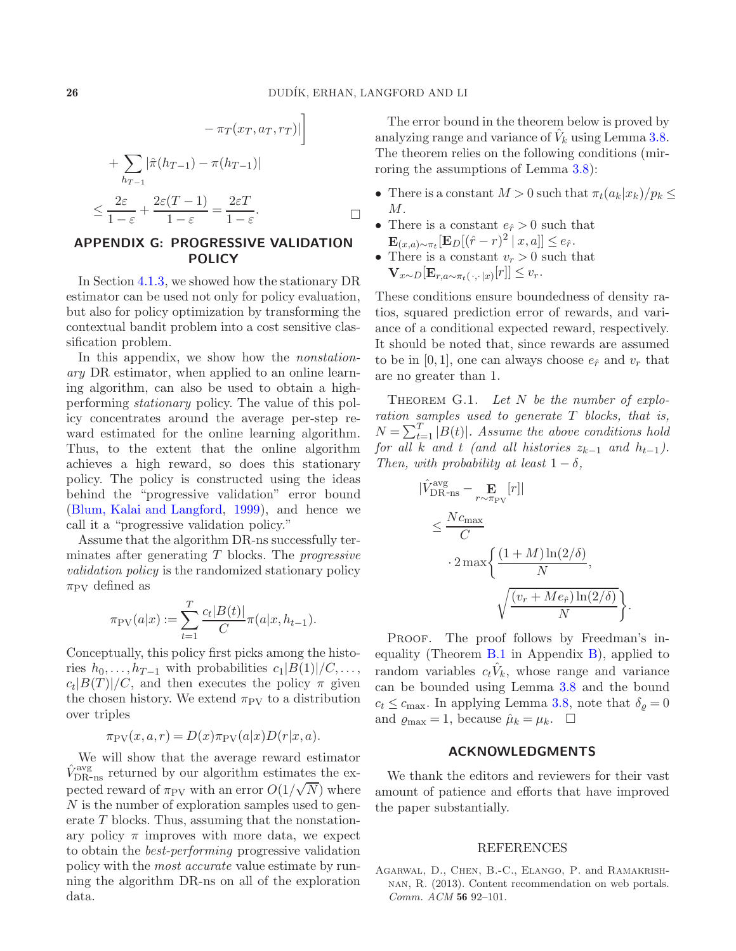$$
-\pi_T(x_T, a_T, r_T)|
$$

$$
+\sum_{h_{T-1}} |\hat{\pi}(h_{T-1}) - \pi(h_{T-1})|
$$

$$
\leq \frac{2\varepsilon}{1-\varepsilon} + \frac{2\varepsilon(T-1)}{1-\varepsilon} = \frac{2\varepsilon T}{1-\varepsilon}.
$$

# APPENDIX G: PROGRESSIVE VALIDATION POLICY

In Section [4.1.3,](#page-10-1) we showed how the stationary DR estimator can be used not only for policy evaluation, but also for policy optimization by transforming the contextual bandit problem into a cost sensitive classification problem.

In this appendix, we show how the *nonstation*ary DR estimator, when applied to an online learning algorithm, can also be used to obtain a highperforming stationary policy. The value of this policy concentrates around the average per-step reward estimated for the online learning algorithm. Thus, to the extent that the online algorithm achieves a high reward, so does this stationary policy. The policy is constructed using the ideas behind the "progressive validation" error bound [\(Blum, Kalai and Langford](#page-26-28), [1999](#page-26-28)), and hence we call it a "progressive validation policy."

Assume that the algorithm DR-ns successfully terminates after generating  $T$  blocks. The *progressive* validation policy is the randomized stationary policy  $\pi_{\rm PV}$  defined as

$$
\pi_{\text{PV}}(a|x) := \sum_{t=1}^{T} \frac{c_t|B(t)|}{C} \pi(a|x, h_{t-1}).
$$

Conceptually, this policy first picks among the histories  $h_0, \ldots, h_{T-1}$  with probabilities  $c_1|B(1)|/C, \ldots$ ,  $c_t|B(T)|/C$ , and then executes the policy  $\pi$  given the chosen history. We extend  $\pi_{\rm PV}$  to a distribution over triples

$$
\pi_{\rm PV}(x, a, r) = D(x)\pi_{\rm PV}(a|x)D(r|x, a).
$$

We will show that the average reward estimator  $\hat{V}_{\text{DR-ns}}^{\text{avg}}$  returned by our algorithm estimates the expected reward of  $\pi_{\text{PV}}$  with an error  $O(1/\sqrt{N})$  where N is the number of exploration samples used to generate  $T$  blocks. Thus, assuming that the nonstationary policy  $\pi$  improves with more data, we expect to obtain the best-performing progressive validation policy with the most accurate value estimate by running the algorithm DR-ns on all of the exploration data.

The error bound in the theorem below is proved by analyzing range and variance of  $\hat{V}_k$  using Lemma [3.8.](#page-7-2) The theorem relies on the following conditions (mirroring the assumptions of Lemma [3.8\)](#page-7-2):

- There is a constant  $M > 0$  such that  $\pi_t(a_k|x_k)/p_k <$  $M$ .
- There is a constant  $e_{\hat{r}} > 0$  such that  $$
- There is a constant  $v_r > 0$  such that  $\mathbf{V}_{x\sim D}[\mathbf{E}_{r,a\sim\pi_t(\cdot,\cdot|x)}[r]] \leq v_r.$

These conditions ensure boundedness of density ratios, squared prediction error of rewards, and variance of a conditional expected reward, respectively. It should be noted that, since rewards are assumed to be in [0, 1], one can always choose  $e_{\hat{r}}$  and  $v_r$  that are no greater than 1.

THEOREM G.1. Let  $N$  be the number of exploration samples used to generate T blocks, that is,  $N = \sum_{t=1}^{T} |B(t)|$ . Assume the above conditions hold for all k and t (and all histories  $z_{k-1}$  and  $h_{t-1}$ ). Then, with probability at least  $1 - \delta$ ,

$$
\begin{split} |\hat{V}_{\text{DR-ns}}^{\text{avg}} - \mathop{\mathbf{E}}_{r \sim \pi_{\text{PV}}}[r]| \\ &\leq \frac{N c_{\text{max}}}{C} \\ &\cdot 2 \max \bigg\{ \frac{(1+M) \ln(2/\delta)}{N}, \\ &\sqrt{\frac{(v_r + M e_{\hat{r}}) \ln(2/\delta)}{N}} \bigg\}. \end{split}
$$

PROOF. The proof follows by Freedman's inequality (Theorem [B.1](#page-21-0) in Appendix [B\)](#page-21-1), applied to random variables  $c_t\hat{V}_k$ , whose range and variance can be bounded using Lemma [3.8](#page-7-2) and the bound  $c_t \leq c_{\text{max}}$ . In applying Lemma [3.8,](#page-7-2) note that  $\delta_{\rho} = 0$ and  $\varrho_{\text{max}} = 1$ , because  $\hat{\mu}_k = \mu_k$ .  $\Box$ 

#### ACKNOWLEDGMENTS

We thank the editors and reviewers for their vast amount of patience and efforts that have improved the paper substantially.

#### REFERENCES

<span id="page-25-0"></span>Agarwal, D., Chen, B.-C., Elango, P. and Ramakrishnan, R. (2013). Content recommendation on web portals. Comm. ACM 56 92–101.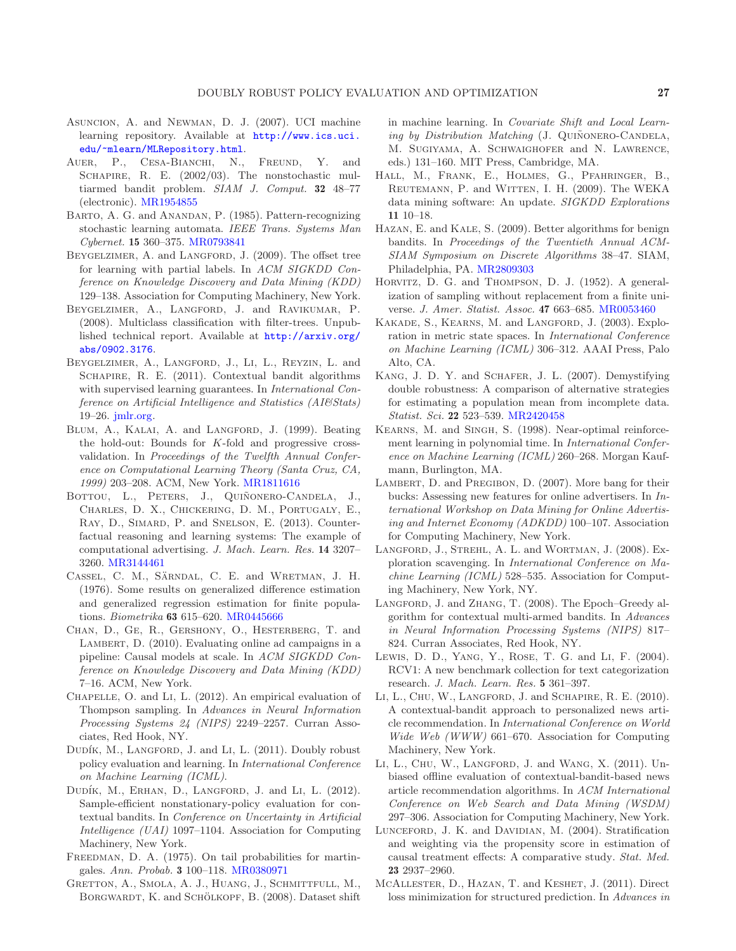- <span id="page-26-18"></span>Asuncion, A. and Newman, D. J. (2007). UCI machine learning repository. Available at [http://www.ics.uci.](http://www.ics.uci.edu/~mlearn/MLRepository.html) [edu/~mlearn/MLRepository.html](http://www.ics.uci.edu/~mlearn/MLRepository.html).
- <span id="page-26-0"></span>AUER, P., CESA-BIANCHI, N., FREUND, Y. and SCHAPIRE, R. E. (2002/03). The nonstochastic multiarmed bandit problem. SIAM J. Comput. 32 48-77 (electronic). [MR1954855](http://www.ams.org/mathscinet-getitem?mr=1954855)
- <span id="page-26-4"></span>Barto, A. G. and Anandan, P. (1985). Pattern-recognizing stochastic learning automata. IEEE Trans. Systems Man Cybernet. 15 360–375. [MR0793841](http://www.ams.org/mathscinet-getitem?mr=0793841)
- <span id="page-26-17"></span>BEYGELZIMER, A. and LANGFORD, J. (2009). The offset tree for learning with partial labels. In ACM SIGKDD Conference on Knowledge Discovery and Data Mining (KDD) 129–138. Association for Computing Machinery, New York.
- <span id="page-26-20"></span>Beygelzimer, A., Langford, J. and Ravikumar, P. (2008). Multiclass classification with filter-trees. Unpublished technical report. Available at [http://arxiv.org/](http://arxiv.org/abs/0902.3176) [abs/0902.3176](http://arxiv.org/abs/0902.3176).
- <span id="page-26-24"></span>Beygelzimer, A., Langford, J., Li, L., Reyzin, L. and SCHAPIRE, R. E. (2011). Contextual bandit algorithms with supervised learning guarantees. In International Conference on Artificial Intelligence and Statistics (AI&Stats) 19–26. [jmlr.org.](http://jmlr.org)
- <span id="page-26-28"></span>Blum, A., Kalai, A. and Langford, J. (1999). Beating the hold-out: Bounds for K-fold and progressive crossvalidation. In Proceedings of the Twelfth Annual Conference on Computational Learning Theory (Santa Cruz, CA, 1999) 203–208. ACM, New York. [MR1811616](http://www.ams.org/mathscinet-getitem?mr=1811616)
- <span id="page-26-8"></span>BOTTOU, L., PETERS, J., QUIÑONERO-CANDELA, J., Charles, D. X., Chickering, D. M., Portugaly, E., RAY, D., SIMARD, P. and SNELSON, E. (2013). Counterfactual reasoning and learning systems: The example of computational advertising. J. Mach. Learn. Res. 14 3207– 3260. [MR3144461](http://www.ams.org/mathscinet-getitem?mr=3144461)
- <span id="page-26-10"></span>CASSEL, C. M., SÄRNDAL, C. E. and WRETMAN, J. H. (1976). Some results on generalized difference estimation and generalized regression estimation for finite populations. Biometrika 63 615–620. [MR0445666](http://www.ams.org/mathscinet-getitem?mr=0445666)
- <span id="page-26-15"></span>Chan, D., Ge, R., Gershony, O., Hesterberg, T. and LAMBERT, D. (2010). Evaluating online ad campaigns in a pipeline: Causal models at scale. In ACM SIGKDD Conference on Knowledge Discovery and Data Mining (KDD) 7–16. ACM, New York.
- <span id="page-26-5"></span>CHAPELLE, O. and LI, L. (2012). An empirical evaluation of Thompson sampling. In Advances in Neural Information Processing Systems 24 (NIPS) 2249–2257. Curran Associates, Red Hook, NY.
- <span id="page-26-2"></span>DUDÍK, M., LANGFORD, J. and LI, L. (2011). Doubly robust policy evaluation and learning. In International Conference on Machine Learning (ICML).
- <span id="page-26-3"></span>DUDÍK, M., ERHAN, D., LANGFORD, J. and LI, L. (2012). Sample-efficient nonstationary-policy evaluation for contextual bandits. In Conference on Uncertainty in Artificial Intelligence (UAI) 1097–1104. Association for Computing Machinery, New York.
- <span id="page-26-25"></span>FREEDMAN, D. A. (1975). On tail probabilities for martingales. Ann. Probab. 3 100–118. [MR0380971](http://www.ams.org/mathscinet-getitem?mr=0380971)
- <span id="page-26-21"></span>GRETTON, A., SMOLA, A. J., HUANG, J., SCHMITTFULL, M., BORGWARDT, K. and SCHÖLKOPF, B. (2008). Dataset shift

in machine learning. In Covariate Shift and Local Learning by Distribution Matching  $(J. QUIÑONERO-CANDELA,$ M. Sugiyama, A. Schwaighofer and N. Lawrence, eds.) 131–160. MIT Press, Cambridge, MA.

- <span id="page-26-26"></span>Hall, M., Frank, E., Holmes, G., Pfahringer, B., Reutemann, P. and Witten, I. H. (2009). The WEKA data mining software: An update. SIGKDD Explorations 11 10–18.
- <span id="page-26-16"></span>Hazan, E. and Kale, S. (2009). Better algorithms for benign bandits. In Proceedings of the Twentieth Annual ACM-SIAM Symposium on Discrete Algorithms 38–47. SIAM, Philadelphia, PA. [MR2809303](http://www.ams.org/mathscinet-getitem?mr=2809303)
- <span id="page-26-9"></span>HORVITZ, D. G. and THOMPSON, D. J. (1952). A generalization of sampling without replacement from a finite universe. J. Amer. Statist. Assoc. 47 663–685. [MR0053460](http://www.ams.org/mathscinet-getitem?mr=0053460)
- <span id="page-26-27"></span>Kakade, S., Kearns, M. and Langford, J. (2003). Exploration in metric state spaces. In International Conference on Machine Learning (ICML) 306–312. AAAI Press, Palo Alto, CA.
- <span id="page-26-12"></span>KANG, J. D. Y. and SCHAFER, J. L. (2007). Demystifying double robustness: A comparison of alternative strategies for estimating a population mean from incomplete data. Statist. Sci. 22 523–539. [MR2420458](http://www.ams.org/mathscinet-getitem?mr=2420458)
- <span id="page-26-22"></span>Kearns, M. and Singh, S. (1998). Near-optimal reinforcement learning in polynomial time. In International Conference on Machine Learning (ICML) 260–268. Morgan Kaufmann, Burlington, MA.
- <span id="page-26-14"></span>LAMBERT, D. and PREGIBON, D. (2007). More bang for their bucks: Assessing new features for online advertisers. In International Workshop on Data Mining for Online Advertising and Internet Economy (ADKDD) 100–107. Association for Computing Machinery, New York.
- <span id="page-26-7"></span>LANGFORD, J., STREHL, A. L. and WORTMAN, J. (2008). Exploration scavenging. In International Conference on Machine Learning (ICML) 528–535. Association for Computing Machinery, New York, NY.
- <span id="page-26-1"></span>Langford, J. and Zhang, T. (2008). The Epoch–Greedy algorithm for contextual multi-armed bandits. In Advances in Neural Information Processing Systems (NIPS) 817– 824. Curran Associates, Red Hook, NY.
- <span id="page-26-23"></span>Lewis, D. D., Yang, Y., Rose, T. G. and Li, F. (2004). RCV1: A new benchmark collection for text categorization research. J. Mach. Learn. Res. 5 361–397.
- <span id="page-26-6"></span>Li, L., Chu, W., Langford, J. and Schapire, R. E. (2010). A contextual-bandit approach to personalized news article recommendation. In International Conference on World Wide Web (WWW) 661–670. Association for Computing Machinery, New York.
- <span id="page-26-13"></span>Li, L., Chu, W., Langford, J. and Wang, X. (2011). Unbiased offline evaluation of contextual-bandit-based news article recommendation algorithms. In ACM International Conference on Web Search and Data Mining (WSDM) 297–306. Association for Computing Machinery, New York.
- <span id="page-26-11"></span>LUNCEFORD, J. K. and DAVIDIAN, M. (2004). Stratification and weighting via the propensity score in estimation of causal treatment effects: A comparative study. Stat. Med. 23 2937–2960.
- <span id="page-26-19"></span>McAllester, D., Hazan, T. and Keshet, J. (2011). Direct loss minimization for structured prediction. In Advances in